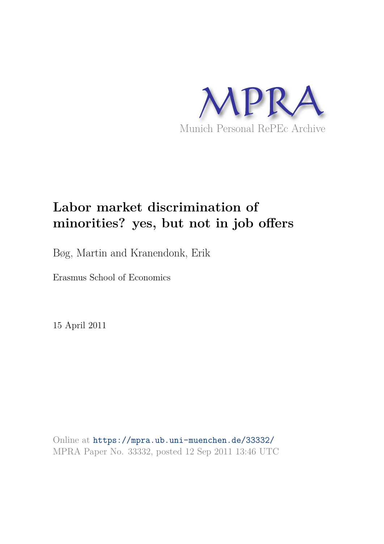

# **Labor market discrimination of minorities? yes, but not in job offers**

Bøg, Martin and Kranendonk, Erik

Erasmus School of Economics

15 April 2011

Online at https://mpra.ub.uni-muenchen.de/33332/ MPRA Paper No. 33332, posted 12 Sep 2011 13:46 UTC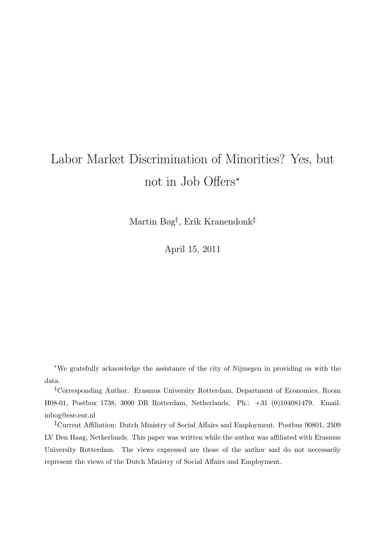# Labor Market Discrimination of Minorities? Yes, but not in Job Offers<sup>∗</sup>

Martin Bøg<sup>†</sup>, Erik Kranendonk<sup>‡</sup>

April 15, 2011

<sup>∗</sup>We gratefully acknowledge the assistance of the city of Nijmegen in providing us with the data.

<sup>❸</sup>Corresponding Author. Erasmus University Rotterdam, Department of Economics, Room H08-01, Postbox 1738, 3000 DR Rotterdam, Netherlands. Ph.: +31 (0)104081479. Email: mbog@ese.eur.nl

<sup>‡</sup>Current Affiliation: Dutch Ministry of Social Affairs and Employment. Postbus 90801, 2509 LV Den Haag, Netherlands. This paper was written while the author was affiliated with Erasmus University Rotterdam. The views expressed are those of the author and do not necessarily represent the views of the Dutch Ministry of Social Affairs and Employment.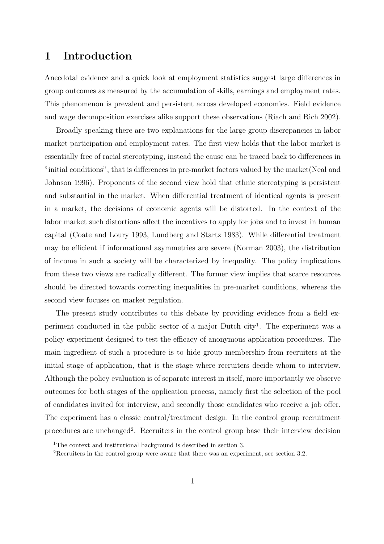## 1 Introduction

Anecdotal evidence and a quick look at employment statistics suggest large differences in group outcomes as measured by the accumulation of skills, earnings and employment rates. This phenomenon is prevalent and persistent across developed economies. Field evidence and wage decomposition exercises alike support these observations (Riach and Rich 2002).

Broadly speaking there are two explanations for the large group discrepancies in labor market participation and employment rates. The first view holds that the labor market is essentially free of racial stereotyping, instead the cause can be traced back to differences in "initial conditions", that is differences in pre-market factors valued by the market(Neal and Johnson 1996). Proponents of the second view hold that ethnic stereotyping is persistent and substantial in the market. When differential treatment of identical agents is present in a market, the decisions of economic agents will be distorted. In the context of the labor market such distortions affect the incentives to apply for jobs and to invest in human capital (Coate and Loury 1993, Lundberg and Startz 1983). While differential treatment may be efficient if informational asymmetries are severe (Norman 2003), the distribution of income in such a society will be characterized by inequality. The policy implications from these two views are radically different. The former view implies that scarce resources should be directed towards correcting inequalities in pre-market conditions, whereas the second view focuses on market regulation.

The present study contributes to this debate by providing evidence from a field experiment conducted in the public sector of a major Dutch city<sup>1</sup>. The experiment was a policy experiment designed to test the efficacy of anonymous application procedures. The main ingredient of such a procedure is to hide group membership from recruiters at the initial stage of application, that is the stage where recruiters decide whom to interview. Although the policy evaluation is of separate interest in itself, more importantly we observe outcomes for both stages of the application process, namely first the selection of the pool of candidates invited for interview, and secondly those candidates who receive a job offer. The experiment has a classic control/treatment design. In the control group recruitment procedures are unchanged<sup>2</sup>. Recruiters in the control group base their interview decision

<sup>&</sup>lt;sup>1</sup>The context and institutional background is described in section 3.

<sup>2</sup>Recruiters in the control group were aware that there was an experiment, see section 3.2.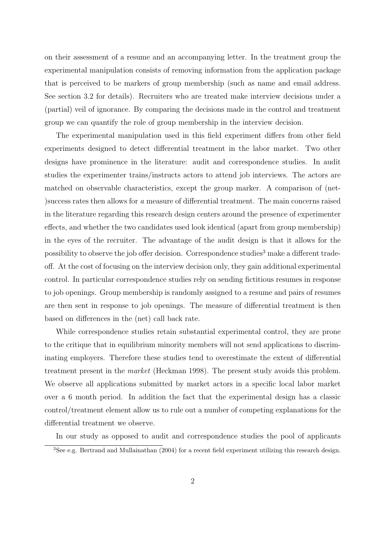on their assessment of a resume and an accompanying letter. In the treatment group the experimental manipulation consists of removing information from the application package that is perceived to be markers of group membership (such as name and email address. See section 3.2 for details). Recruiters who are treated make interview decisions under a (partial) veil of ignorance. By comparing the decisions made in the control and treatment group we can quantify the role of group membership in the interview decision.

The experimental manipulation used in this field experiment differs from other field experiments designed to detect differential treatment in the labor market. Two other designs have prominence in the literature: audit and correspondence studies. In audit studies the experimenter trains/instructs actors to attend job interviews. The actors are matched on observable characteristics, except the group marker. A comparison of (net- )success rates then allows for a measure of differential treatment. The main concerns raised in the literature regarding this research design centers around the presence of experimenter effects, and whether the two candidates used look identical (apart from group membership) in the eyes of the recruiter. The advantage of the audit design is that it allows for the possibility to observe the job offer decision. Correspondence studies<sup>3</sup> make a different tradeoff. At the cost of focusing on the interview decision only, they gain additional experimental control. In particular correspondence studies rely on sending fictitious resumes in response to job openings. Group membership is randomly assigned to a resume and pairs of resumes are then sent in response to job openings. The measure of differential treatment is then based on differences in the (net) call back rate.

While correspondence studies retain substantial experimental control, they are prone to the critique that in equilibrium minority members will not send applications to discriminating employers. Therefore these studies tend to overestimate the extent of differential treatment present in the market (Heckman 1998). The present study avoids this problem. We observe all applications submitted by market actors in a specific local labor market over a 6 month period. In addition the fact that the experimental design has a classic control/treatment element allow us to rule out a number of competing explanations for the differential treatment we observe.

In our study as opposed to audit and correspondence studies the pool of applicants

<sup>3</sup>See e.g. Bertrand and Mullainathan (2004) for a recent field experiment utilizing this research design.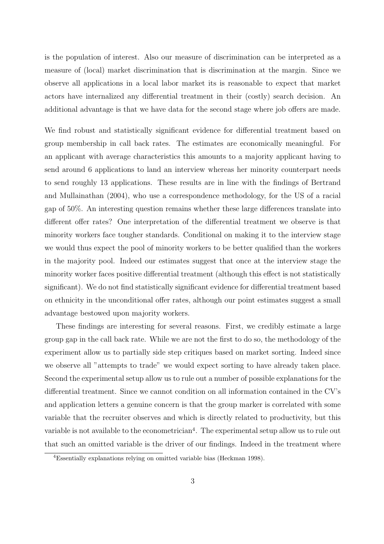is the population of interest. Also our measure of discrimination can be interpreted as a measure of (local) market discrimination that is discrimination at the margin. Since we observe all applications in a local labor market its is reasonable to expect that market actors have internalized any differential treatment in their (costly) search decision. An additional advantage is that we have data for the second stage where job offers are made.

We find robust and statistically significant evidence for differential treatment based on group membership in call back rates. The estimates are economically meaningful. For an applicant with average characteristics this amounts to a majority applicant having to send around 6 applications to land an interview whereas her minority counterpart needs to send roughly 13 applications. These results are in line with the findings of Bertrand and Mullainathan (2004), who use a correspondence methodology, for the US of a racial gap of 50%. An interesting question remains whether these large differences translate into different offer rates? One interpretation of the differential treatment we observe is that minority workers face tougher standards. Conditional on making it to the interview stage we would thus expect the pool of minority workers to be better qualified than the workers in the majority pool. Indeed our estimates suggest that once at the interview stage the minority worker faces positive differential treatment (although this effect is not statistically significant). We do not find statistically significant evidence for differential treatment based on ethnicity in the unconditional offer rates, although our point estimates suggest a small advantage bestowed upon majority workers.

These findings are interesting for several reasons. First, we credibly estimate a large group gap in the call back rate. While we are not the first to do so, the methodology of the experiment allow us to partially side step critiques based on market sorting. Indeed since we observe all "attempts to trade" we would expect sorting to have already taken place. Second the experimental setup allow us to rule out a number of possible explanations for the differential treatment. Since we cannot condition on all information contained in the CV's and application letters a genuine concern is that the group marker is correlated with some variable that the recruiter observes and which is directly related to productivity, but this variable is not available to the econometrician<sup>4</sup>. The experimental setup allow us to rule out that such an omitted variable is the driver of our findings. Indeed in the treatment where

<sup>4</sup>Essentially explanations relying on omitted variable bias (Heckman 1998).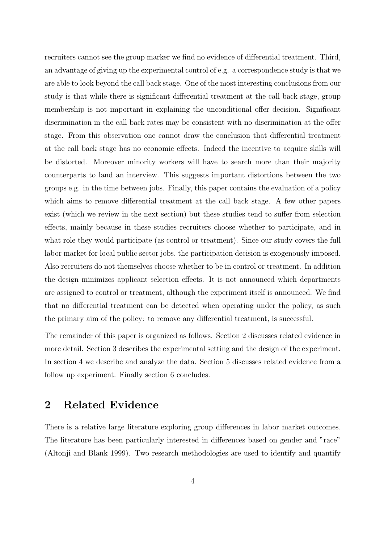recruiters cannot see the group marker we find no evidence of differential treatment. Third, an advantage of giving up the experimental control of e.g. a correspondence study is that we are able to look beyond the call back stage. One of the most interesting conclusions from our study is that while there is significant differential treatment at the call back stage, group membership is not important in explaining the unconditional offer decision. Significant discrimination in the call back rates may be consistent with no discrimination at the offer stage. From this observation one cannot draw the conclusion that differential treatment at the call back stage has no economic effects. Indeed the incentive to acquire skills will be distorted. Moreover minority workers will have to search more than their majority counterparts to land an interview. This suggests important distortions between the two groups e.g. in the time between jobs. Finally, this paper contains the evaluation of a policy which aims to remove differential treatment at the call back stage. A few other papers exist (which we review in the next section) but these studies tend to suffer from selection effects, mainly because in these studies recruiters choose whether to participate, and in what role they would participate (as control or treatment). Since our study covers the full labor market for local public sector jobs, the participation decision is exogenously imposed. Also recruiters do not themselves choose whether to be in control or treatment. In addition the design minimizes applicant selection effects. It is not announced which departments are assigned to control or treatment, although the experiment itself is announced. We find that no differential treatment can be detected when operating under the policy, as such the primary aim of the policy: to remove any differential treatment, is successful.

The remainder of this paper is organized as follows. Section 2 discusses related evidence in more detail. Section 3 describes the experimental setting and the design of the experiment. In section 4 we describe and analyze the data. Section 5 discusses related evidence from a follow up experiment. Finally section 6 concludes.

### 2 Related Evidence

There is a relative large literature exploring group differences in labor market outcomes. The literature has been particularly interested in differences based on gender and "race" (Altonji and Blank 1999). Two research methodologies are used to identify and quantify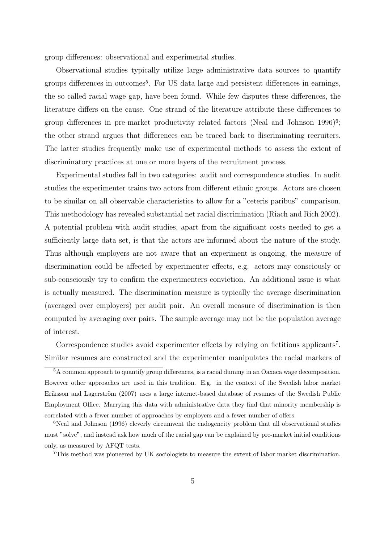group differences: observational and experimental studies.

Observational studies typically utilize large administrative data sources to quantify groups differences in outcomes<sup>5</sup>. For US data large and persistent differences in earnings, the so called racial wage gap, have been found. While few disputes these differences, the literature differs on the cause. One strand of the literature attribute these differences to group differences in pre-market productivity related factors (Neal and Johnson 1996)<sup>6</sup>; the other strand argues that differences can be traced back to discriminating recruiters. The latter studies frequently make use of experimental methods to assess the extent of discriminatory practices at one or more layers of the recruitment process.

Experimental studies fall in two categories: audit and correspondence studies. In audit studies the experimenter trains two actors from different ethnic groups. Actors are chosen to be similar on all observable characteristics to allow for a "ceteris paribus" comparison. This methodology has revealed substantial net racial discrimination (Riach and Rich 2002). A potential problem with audit studies, apart from the significant costs needed to get a sufficiently large data set, is that the actors are informed about the nature of the study. Thus although employers are not aware that an experiment is ongoing, the measure of discrimination could be affected by experimenter effects, e.g. actors may consciously or sub-consciously try to confirm the experimenters conviction. An additional issue is what is actually measured. The discrimination measure is typically the average discrimination (averaged over employers) per audit pair. An overall measure of discrimination is then computed by averaging over pairs. The sample average may not be the population average of interest.

Correspondence studies avoid experimenter effects by relying on fictitious applicants<sup>7</sup>. Similar resumes are constructed and the experimenter manipulates the racial markers of

<sup>5</sup>A common approach to quantify group differences, is a racial dummy in an Oaxaca wage decomposition. However other approaches are used in this tradition. E.g. in the context of the Swedish labor market Eriksson and Lagerström (2007) uses a large internet-based database of resumes of the Swedish Public Employment Office. Marrying this data with administrative data they find that minority membership is correlated with a fewer number of approaches by employers and a fewer number of offers.

<sup>&</sup>lt;sup>6</sup>Neal and Johnson (1996) cleverly circumvent the endogeneity problem that all observational studies must "solve", and instead ask how much of the racial gap can be explained by pre-market initial conditions only, as measured by AFQT tests.

<sup>7</sup>This method was pioneered by UK sociologists to measure the extent of labor market discrimination.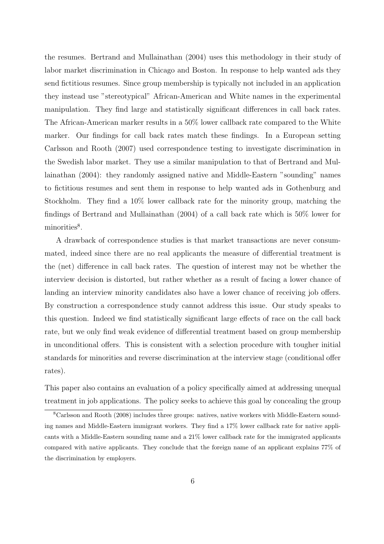the resumes. Bertrand and Mullainathan (2004) uses this methodology in their study of labor market discrimination in Chicago and Boston. In response to help wanted ads they send fictitious resumes. Since group membership is typically not included in an application they instead use "stereotypical" African-American and White names in the experimental manipulation. They find large and statistically significant differences in call back rates. The African-American marker results in a 50% lower callback rate compared to the White marker. Our findings for call back rates match these findings. In a European setting Carlsson and Rooth (2007) used correspondence testing to investigate discrimination in the Swedish labor market. They use a similar manipulation to that of Bertrand and Mullainathan (2004): they randomly assigned native and Middle-Eastern "sounding" names to fictitious resumes and sent them in response to help wanted ads in Gothenburg and Stockholm. They find a 10% lower callback rate for the minority group, matching the findings of Bertrand and Mullainathan (2004) of a call back rate which is 50% lower for minorities<sup>8</sup>.

A drawback of correspondence studies is that market transactions are never consummated, indeed since there are no real applicants the measure of differential treatment is the (net) difference in call back rates. The question of interest may not be whether the interview decision is distorted, but rather whether as a result of facing a lower chance of landing an interview minority candidates also have a lower chance of receiving job offers. By construction a correspondence study cannot address this issue. Our study speaks to this question. Indeed we find statistically significant large effects of race on the call back rate, but we only find weak evidence of differential treatment based on group membership in unconditional offers. This is consistent with a selection procedure with tougher initial standards for minorities and reverse discrimination at the interview stage (conditional offer rates).

This paper also contains an evaluation of a policy specifically aimed at addressing unequal treatment in job applications. The policy seeks to achieve this goal by concealing the group

<sup>8</sup>Carlsson and Rooth (2008) includes three groups: natives, native workers with Middle-Eastern sounding names and Middle-Eastern immigrant workers. They find a 17% lower callback rate for native applicants with a Middle-Eastern sounding name and a 21% lower callback rate for the immigrated applicants compared with native applicants. They conclude that the foreign name of an applicant explains 77% of the discrimination by employers.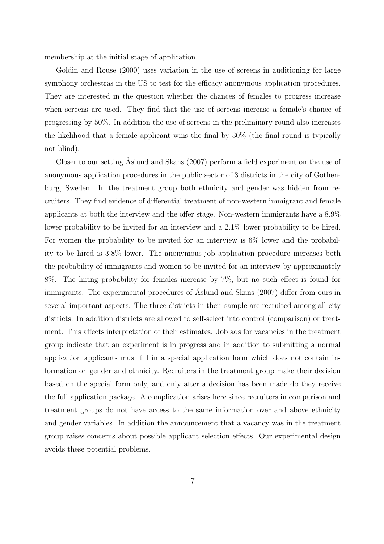membership at the initial stage of application.

Goldin and Rouse (2000) uses variation in the use of screens in auditioning for large symphony orchestras in the US to test for the efficacy anonymous application procedures. They are interested in the question whether the chances of females to progress increase when screens are used. They find that the use of screens increase a female's chance of progressing by 50%. In addition the use of screens in the preliminary round also increases the likelihood that a female applicant wins the final by 30% (the final round is typically not blind).

Closer to our setting Aslund and Skans (2007) perform a field experiment on the use of anonymous application procedures in the public sector of 3 districts in the city of Gothenburg, Sweden. In the treatment group both ethnicity and gender was hidden from recruiters. They find evidence of differential treatment of non-western immigrant and female applicants at both the interview and the offer stage. Non-western immigrants have a 8.9% lower probability to be invited for an interview and a 2.1% lower probability to be hired. For women the probability to be invited for an interview is 6% lower and the probability to be hired is 3.8% lower. The anonymous job application procedure increases both the probability of immigrants and women to be invited for an interview by approximately 8%. The hiring probability for females increase by 7%, but no such effect is found for immigrants. The experimental procedures of Åslund and Skans (2007) differ from ours in several important aspects. The three districts in their sample are recruited among all city districts. In addition districts are allowed to self-select into control (comparison) or treatment. This affects interpretation of their estimates. Job ads for vacancies in the treatment group indicate that an experiment is in progress and in addition to submitting a normal application applicants must fill in a special application form which does not contain information on gender and ethnicity. Recruiters in the treatment group make their decision based on the special form only, and only after a decision has been made do they receive the full application package. A complication arises here since recruiters in comparison and treatment groups do not have access to the same information over and above ethnicity and gender variables. In addition the announcement that a vacancy was in the treatment group raises concerns about possible applicant selection effects. Our experimental design avoids these potential problems.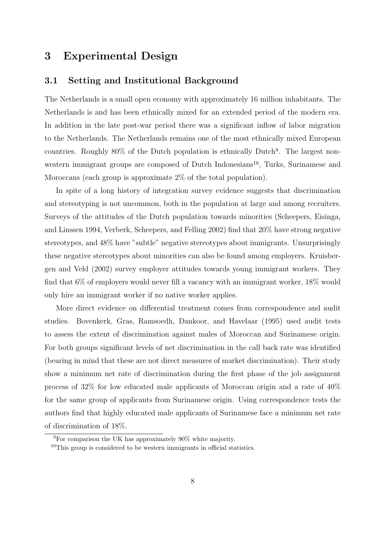# 3 Experimental Design

#### 3.1 Setting and Institutional Background

The Netherlands is a small open economy with approximately 16 million inhabitants. The Netherlands is and has been ethnically mixed for an extended period of the modern era. In addition in the late post-war period there was a significant inflow of labor migration to the Netherlands. The Netherlands remains one of the most ethnically mixed European countries. Roughly 80% of the Dutch population is ethnically Dutch<sup>9</sup>. The largest nonwestern immigrant groups are composed of Dutch Indonesians<sup>10</sup>, Turks, Surinamese and Moroccans (each group is approximate 2% of the total population).

In spite of a long history of integration survey evidence suggests that discrimination and stereotyping is not uncommon, both in the population at large and among recruiters. Surveys of the attitudes of the Dutch population towards minorities (Scheepers, Eisinga, and Linssen 1994, Verberk, Scheepers, and Felling 2002) find that 20% have strong negative stereotypes, and 48% have "subtle" negative stereotypes about immigrants. Unsurprisingly these negative stereotypes about minorities can also be found among employers. Kruisbergen and Veld (2002) survey employer attitudes towards young immigrant workers. They find that 6% of employers would never fill a vacancy with an immigrant worker, 18% would only hire an immigrant worker if no native worker applies.

More direct evidence on differential treatment comes from correspondence and audit studies. Bovenkerk, Gras, Ramsoedh, Dankoor, and Havelaar (1995) used audit tests to assess the extent of discrimination against males of Moroccan and Surinamese origin. For both groups significant levels of net discrimination in the call back rate was identified (bearing in mind that these are not direct measures of market discrimination). Their study show a minimum net rate of discrimination during the first phase of the job assignment process of 32% for low educated male applicants of Moroccan origin and a rate of 40% for the same group of applicants from Surinamese origin. Using correspondence tests the authors find that highly educated male applicants of Surinamese face a minimum net rate of discrimination of 18%.

 $9F$ or comparison the UK has approximately 90% white majority.

 $10$ This group is considered to be western immigrants in official statistics.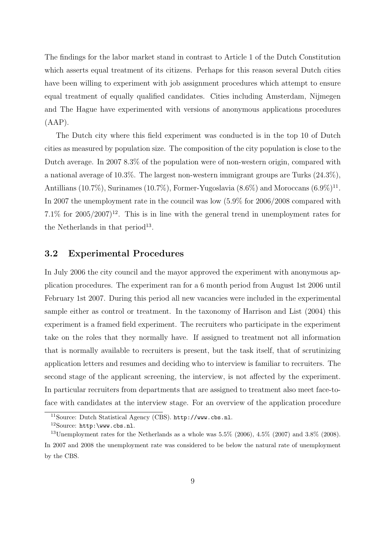The findings for the labor market stand in contrast to Article 1 of the Dutch Constitution which asserts equal treatment of its citizens. Perhaps for this reason several Dutch cities have been willing to experiment with job assignment procedures which attempt to ensure equal treatment of equally qualified candidates. Cities including Amsterdam, Nijmegen and The Hague have experimented with versions of anonymous applications procedures  $(AAP)$ .

The Dutch city where this field experiment was conducted is in the top 10 of Dutch cities as measured by population size. The composition of the city population is close to the Dutch average. In 2007 8.3% of the population were of non-western origin, compared with a national average of 10.3%. The largest non-western immigrant groups are Turks (24.3%), Antillians  $(10.7\%)$ , Surinames  $(10.7\%)$ , Former-Yugoslavia  $(8.6\%)$  and Moroccans  $(6.9\%)$ <sup>11</sup>. In 2007 the unemployment rate in the council was low (5.9% for 2006/2008 compared with  $7.1\%$  for  $2005/2007$ <sup>12</sup>. This is in line with the general trend in unemployment rates for the Netherlands in that  $period<sup>13</sup>$ .

#### 3.2 Experimental Procedures

In July 2006 the city council and the mayor approved the experiment with anonymous application procedures. The experiment ran for a 6 month period from August 1st 2006 until February 1st 2007. During this period all new vacancies were included in the experimental sample either as control or treatment. In the taxonomy of Harrison and List (2004) this experiment is a framed field experiment. The recruiters who participate in the experiment take on the roles that they normally have. If assigned to treatment not all information that is normally available to recruiters is present, but the task itself, that of scrutinizing application letters and resumes and deciding who to interview is familiar to recruiters. The second stage of the applicant screening, the interview, is not affected by the experiment. In particular recruiters from departments that are assigned to treatment also meet face-toface with candidates at the interview stage. For an overview of the application procedure

<sup>11</sup>Source: Dutch Statistical Agency (CBS). http://www.cbs.nl.

 $12$ Source: http:\www.cbs.nl.

<sup>&</sup>lt;sup>13</sup>Unemployment rates for the Netherlands as a whole was  $5.5\%$  (2006),  $4.5\%$  (2007) and  $3.8\%$  (2008). In 2007 and 2008 the unemployment rate was considered to be below the natural rate of unemployment by the CBS.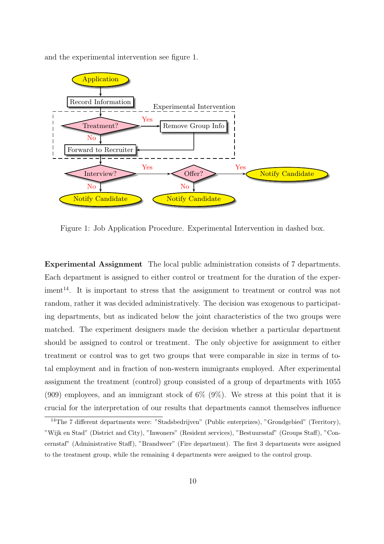

and the experimental intervention see figure 1.

Figure 1: Job Application Procedure. Experimental Intervention in dashed box.

Experimental Assignment The local public administration consists of 7 departments. Each department is assigned to either control or treatment for the duration of the exper $j$  iment<sup>14</sup>. It is important to stress that the assignment to treatment or control was not random, rather it was decided administratively. The decision was exogenous to participating departments, but as indicated below the joint characteristics of the two groups were matched. The experiment designers made the decision whether a particular department should be assigned to control or treatment. The only objective for assignment to either treatment or control was to get two groups that were comparable in size in terms of total employment and in fraction of non-western immigrants employed. After experimental assignment the treatment (control) group consisted of a group of departments with 1055 (909) employees, and an immigrant stock of  $6\%$  (9%). We stress at this point that it is crucial for the interpretation of our results that departments cannot themselves influence

<sup>14</sup>The 7 different departments were: "Stadsbedrijven" (Public enterprizes), "Grondgebied" (Territory), "Wijk en Stad" (District and City), "Inwoners" (Resident services), "Bestuursstaf" (Groups Staff), "Concernstaf" (Administrative Staff), "Brandweer" (Fire department). The first 3 departments were assigned to the treatment group, while the remaining 4 departments were assigned to the control group.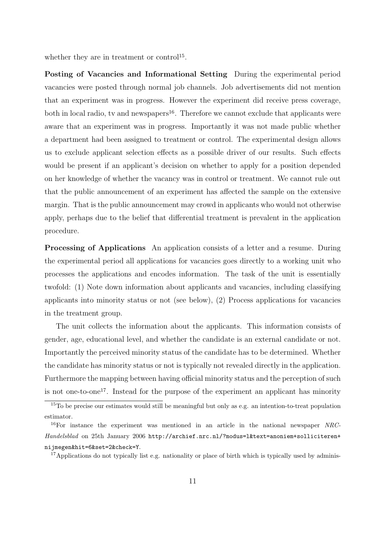whether they are in treatment or control<sup>15</sup>.

Posting of Vacancies and Informational Setting During the experimental period vacancies were posted through normal job channels. Job advertisements did not mention that an experiment was in progress. However the experiment did receive press coverage, both in local radio, tv and newspapers<sup>16</sup>. Therefore we cannot exclude that applicants were aware that an experiment was in progress. Importantly it was not made public whether a department had been assigned to treatment or control. The experimental design allows us to exclude applicant selection effects as a possible driver of our results. Such effects would be present if an applicant's decision on whether to apply for a position depended on her knowledge of whether the vacancy was in control or treatment. We cannot rule out that the public announcement of an experiment has affected the sample on the extensive margin. That is the public announcement may crowd in applicants who would not otherwise apply, perhaps due to the belief that differential treatment is prevalent in the application procedure.

Processing of Applications An application consists of a letter and a resume. During the experimental period all applications for vacancies goes directly to a working unit who processes the applications and encodes information. The task of the unit is essentially twofold: (1) Note down information about applicants and vacancies, including classifying applicants into minority status or not (see below), (2) Process applications for vacancies in the treatment group.

The unit collects the information about the applicants. This information consists of gender, age, educational level, and whether the candidate is an external candidate or not. Importantly the perceived minority status of the candidate has to be determined. Whether the candidate has minority status or not is typically not revealed directly in the application. Furthermore the mapping between having official minority status and the perception of such is not one-to-one<sup>17</sup>. Instead for the purpose of the experiment an applicant has minority

<sup>15</sup>To be precise our estimates would still be meaningful but only as e.g. an intention-to-treat population estimator.

 $16$ For instance the experiment was mentioned in an article in the national newspaper NRC-Handelsblad on 25th January 2006 http://archief.nrc.nl/?modus=l&text=anoniem+solliciteren+ nijmegen&hit=6&set=2&check=Y.

 $17$ Applications do not typically list e.g. nationality or place of birth which is typically used by adminis-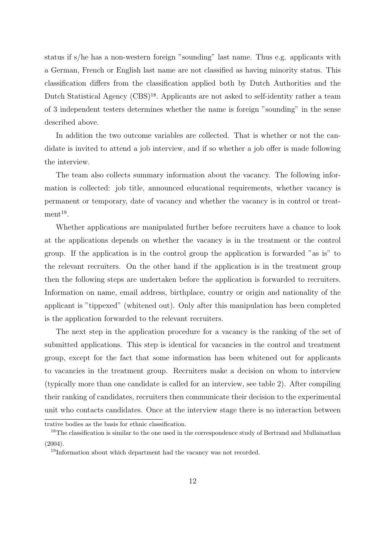status if s/he has a non-western foreign "sounding" last name. Thus e.g. applicants with a German, French or English last name are not classified as having minority status. This classification differs from the classification applied both by Dutch Authorities and the Dutch Statistical Agency (CBS)<sup>18</sup>. Applicants are not asked to self-identity rather a team of 3 independent testers determines whether the name is foreign "sounding" in the sense described above.

In addition the two outcome variables are collected. That is whether or not the candidate is invited to attend a job interview, and if so whether a job offer is made following the interview.

The team also collects summary information about the vacancy. The following information is collected: job title, announced educational requirements, whether vacancy is permanent or temporary, date of vacancy and whether the vacancy is in control or treat $ment<sup>19</sup>$ .

Whether applications are manipulated further before recruiters have a chance to look at the applications depends on whether the vacancy is in the treatment or the control group. If the application is in the control group the application is forwarded "as is" to the relevant recruiters. On the other hand if the application is in the treatment group then the following steps are undertaken before the application is forwarded to recruiters. Information on name, email address, birthplace, country or origin and nationality of the applicant is "tippexed" (whitened out). Only after this manipulation has been completed is the application forwarded to the relevant recruiters.

The next step in the application procedure for a vacancy is the ranking of the set of submitted applications. This step is identical for vacancies in the control and treatment group, except for the fact that some information has been whitened out for applicants to vacancies in the treatment group. Recruiters make a decision on whom to interview (typically more than one candidate is called for an interview, see table 2). After compiling their ranking of candidates, recruiters then communicate their decision to the experimental unit who contacts candidates. Once at the interview stage there is no interaction between

trative bodies as the basis for ethnic classification.

<sup>&</sup>lt;sup>18</sup>The classification is similar to the one used in the correspondence study of Bertrand and Mullainathan  $(2004).$ 

<sup>19</sup>Information about which department had the vacancy was not recorded.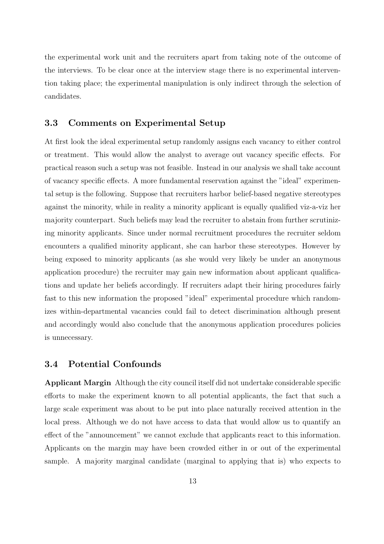the experimental work unit and the recruiters apart from taking note of the outcome of the interviews. To be clear once at the interview stage there is no experimental intervention taking place; the experimental manipulation is only indirect through the selection of candidates.

#### 3.3 Comments on Experimental Setup

At first look the ideal experimental setup randomly assigns each vacancy to either control or treatment. This would allow the analyst to average out vacancy specific effects. For practical reason such a setup was not feasible. Instead in our analysis we shall take account of vacancy specific effects. A more fundamental reservation against the "ideal" experimental setup is the following. Suppose that recruiters harbor belief-based negative stereotypes against the minority, while in reality a minority applicant is equally qualified viz-a-viz her majority counterpart. Such beliefs may lead the recruiter to abstain from further scrutinizing minority applicants. Since under normal recruitment procedures the recruiter seldom encounters a qualified minority applicant, she can harbor these stereotypes. However by being exposed to minority applicants (as she would very likely be under an anonymous application procedure) the recruiter may gain new information about applicant qualifications and update her beliefs accordingly. If recruiters adapt their hiring procedures fairly fast to this new information the proposed "ideal" experimental procedure which randomizes within-departmental vacancies could fail to detect discrimination although present and accordingly would also conclude that the anonymous application procedures policies is unnecessary.

#### 3.4 Potential Confounds

Applicant Margin Although the city council itself did not undertake considerable specific efforts to make the experiment known to all potential applicants, the fact that such a large scale experiment was about to be put into place naturally received attention in the local press. Although we do not have access to data that would allow us to quantify an effect of the "announcement" we cannot exclude that applicants react to this information. Applicants on the margin may have been crowded either in or out of the experimental sample. A majority marginal candidate (marginal to applying that is) who expects to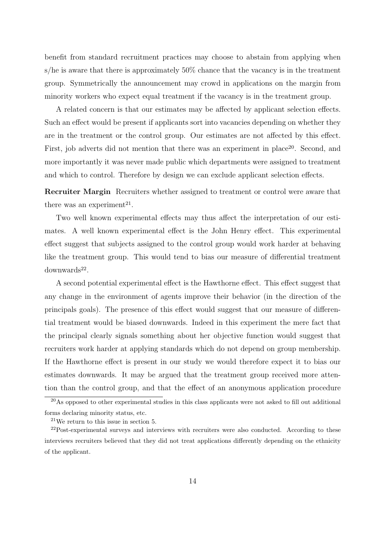benefit from standard recruitment practices may choose to abstain from applying when s/he is aware that there is approximately 50% chance that the vacancy is in the treatment group. Symmetrically the announcement may crowd in applications on the margin from minority workers who expect equal treatment if the vacancy is in the treatment group.

A related concern is that our estimates may be affected by applicant selection effects. Such an effect would be present if applicants sort into vacancies depending on whether they are in the treatment or the control group. Our estimates are not affected by this effect. First, job adverts did not mention that there was an experiment in place<sup>20</sup>. Second, and more importantly it was never made public which departments were assigned to treatment and which to control. Therefore by design we can exclude applicant selection effects.

Recruiter Margin Recruiters whether assigned to treatment or control were aware that there was an experiment<sup>21</sup>.

Two well known experimental effects may thus affect the interpretation of our estimates. A well known experimental effect is the John Henry effect. This experimental effect suggest that subjects assigned to the control group would work harder at behaving like the treatment group. This would tend to bias our measure of differential treatment  $downwards<sup>22</sup>$ .

A second potential experimental effect is the Hawthorne effect. This effect suggest that any change in the environment of agents improve their behavior (in the direction of the principals goals). The presence of this effect would suggest that our measure of differential treatment would be biased downwards. Indeed in this experiment the mere fact that the principal clearly signals something about her objective function would suggest that recruiters work harder at applying standards which do not depend on group membership. If the Hawthorne effect is present in our study we would therefore expect it to bias our estimates downwards. It may be argued that the treatment group received more attention than the control group, and that the effect of an anonymous application procedure

<sup>&</sup>lt;sup>20</sup>As opposed to other experimental studies in this class applicants were not asked to fill out additional forms declaring minority status, etc.

 $21$ We return to this issue in section 5.

<sup>&</sup>lt;sup>22</sup>Post-experimental surveys and interviews with recruiters were also conducted. According to these interviews recruiters believed that they did not treat applications differently depending on the ethnicity of the applicant.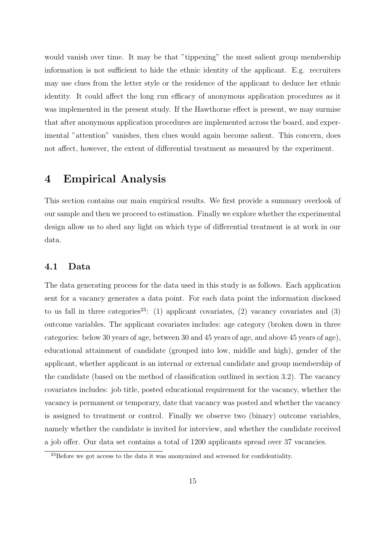would vanish over time. It may be that "tippexing" the most salient group membership information is not sufficient to hide the ethnic identity of the applicant. E.g. recruiters may use clues from the letter style or the residence of the applicant to deduce her ethnic identity. It could affect the long run efficacy of anonymous application procedures as it was implemented in the present study. If the Hawthorne effect is present, we may surmise that after anonymous application procedures are implemented across the board, and experimental "attention" vanishes, then clues would again become salient. This concern, does not affect, however, the extent of differential treatment as measured by the experiment.

### 4 Empirical Analysis

This section contains our main empirical results. We first provide a summary overlook of our sample and then we proceed to estimation. Finally we explore whether the experimental design allow us to shed any light on which type of differential treatment is at work in our data.

#### 4.1 Data

The data generating process for the data used in this study is as follows. Each application sent for a vacancy generates a data point. For each data point the information disclosed to us fall in three categories<sup>23</sup>: (1) applicant covariates, (2) vacancy covariates and (3) outcome variables. The applicant covariates includes: age category (broken down in three categories: below 30 years of age, between 30 and 45 years of age, and above 45 years of age), educational attainment of candidate (grouped into low, middle and high), gender of the applicant, whether applicant is an internal or external candidate and group membership of the candidate (based on the method of classification outlined in section 3.2). The vacancy covariates includes: job title, posted educational requirement for the vacancy, whether the vacancy is permanent or temporary, date that vacancy was posted and whether the vacancy is assigned to treatment or control. Finally we observe two (binary) outcome variables, namely whether the candidate is invited for interview, and whether the candidate received a job offer. Our data set contains a total of 1200 applicants spread over 37 vacancies.

 $^{23}$ Before we got access to the data it was anonymized and screened for confidentiality.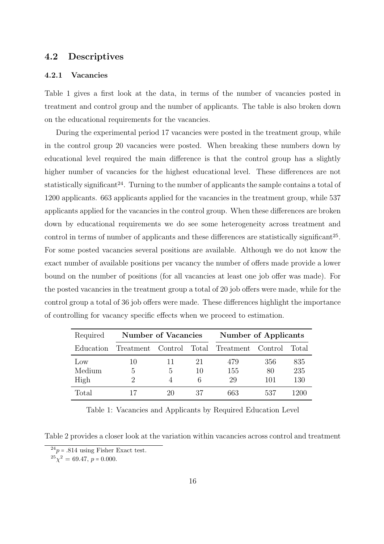#### 4.2 Descriptives

#### 4.2.1 Vacancies

Table 1 gives a first look at the data, in terms of the number of vacancies posted in treatment and control group and the number of applicants. The table is also broken down on the educational requirements for the vacancies.

During the experimental period 17 vacancies were posted in the treatment group, while in the control group 20 vacancies were posted. When breaking these numbers down by educational level required the main difference is that the control group has a slightly higher number of vacancies for the highest educational level. These differences are not statistically significant<sup>24</sup>. Turning to the number of applicants the sample contains a total of 1200 applicants. 663 applicants applied for the vacancies in the treatment group, while 537 applicants applied for the vacancies in the control group. When these differences are broken down by educational requirements we do see some heterogeneity across treatment and control in terms of number of applicants and these differences are statistically significant<sup>25</sup>. For some posted vacancies several positions are available. Although we do not know the exact number of available positions per vacancy the number of offers made provide a lower bound on the number of positions (for all vacancies at least one job offer was made). For the posted vacancies in the treatment group a total of 20 job offers were made, while for the control group a total of 36 job offers were made. These differences highlight the importance of controlling for vacancy specific effects when we proceed to estimation.

| Required        | <b>Number of Vacancies</b> |    |    | <b>Number of Applicants</b>               |     |       |  |
|-----------------|----------------------------|----|----|-------------------------------------------|-----|-------|--|
| Education       |                            |    |    | Treatment Control Total Treatment Control |     | Total |  |
| $_{\text{LOW}}$ | 10                         | 11 | 21 | 479                                       | 356 | 835   |  |
| Medium          | 5                          | 5  | 10 | 155                                       | 80  | 235   |  |
| High            | 2                          | 4  | 6  | 29                                        | 101 | 130   |  |
| Total           |                            | 20 | 37 | 663                                       | 537 | 1200  |  |

Table 1: Vacancies and Applicants by Required Education Level

Table 2 provides a closer look at the variation within vacancies across control and treatment

 $24p = .814$  using Fisher Exact test.

 $^{25}\chi^2 = 69.47, p = 0.000.$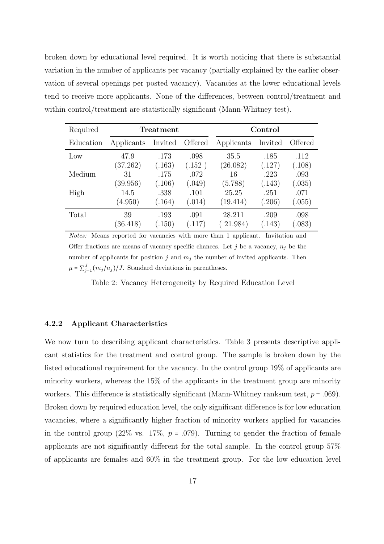broken down by educational level required. It is worth noticing that there is substantial variation in the number of applicants per vacancy (partially explained by the earlier observation of several openings per posted vacancy). Vacancies at the lower educational levels tend to receive more applicants. None of the differences, between control/treatment and within control/treatment are statistically significant (Mann-Whitney test).

| Required  | Treatment  |         |         | Control    |         |         |  |
|-----------|------------|---------|---------|------------|---------|---------|--|
| Education | Applicants | Invited | Offered | Applicants | Invited | Offered |  |
| Low       | 47.9       | .173    | .098    | 35.5       | .185    | .112    |  |
|           | (37.262)   | (.163)  | (.152)  | (26.082)   | (.127)  | (.108)  |  |
| Medium    | 31         | .175    | .072    | 16         | .223    | .093    |  |
|           | (39.956)   | (.106)  | (.049)  | (5.788)    | (.143)  | (.035)  |  |
| High      | 14.5       | .338    | .101    | 25.25      | .251    | .071    |  |
|           | (4.950)    | (.164)  | (.014)  | (19.414)   | (.206)  | (.055)  |  |
| Total     | 39         | .193    | .091    | 28.211     | .209    | .098    |  |
|           | (36.418)   | (.150)  | (.117)  | 21.984)    | (.143)  | 0.083)  |  |

Notes: Means reported for vacancies with more than 1 applicant. Invitation and Offer fractions are means of vacancy specific chances. Let j be a vacancy,  $n_i$  be the number of applicants for position j and  $m_j$  the number of invited applicants. Then  $\mu = \sum_{j=1}^{J} (m_j/n_j)/J$ . Standard deviations in parentheses.

Table 2: Vacancy Heterogeneity by Required Education Level

#### 4.2.2 Applicant Characteristics

We now turn to describing applicant characteristics. Table 3 presents descriptive applicant statistics for the treatment and control group. The sample is broken down by the listed educational requirement for the vacancy. In the control group 19% of applicants are minority workers, whereas the 15% of the applicants in the treatment group are minority workers. This difference is statistically significant (Mann-Whitney ranksum test,  $p = .069$ ). Broken down by required education level, the only significant difference is for low education vacancies, where a significantly higher fraction of minority workers applied for vacancies in the control group  $(22\% \text{ vs. } 17\%, p = .079)$ . Turning to gender the fraction of female applicants are not significantly different for the total sample. In the control group 57% of applicants are females and 60% in the treatment group. For the low education level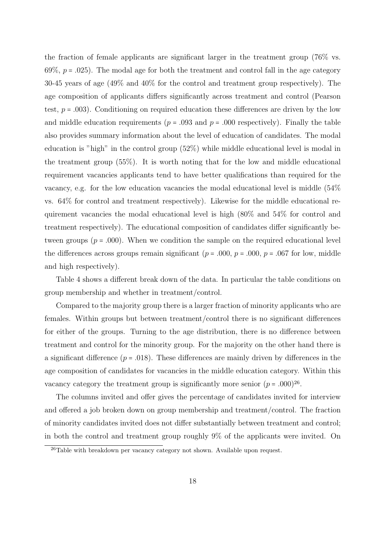the fraction of female applicants are significant larger in the treatment group (76% vs. 69%,  $p = .025$ ). The modal age for both the treatment and control fall in the age category 30-45 years of age (49% and 40% for the control and treatment group respectively). The age composition of applicants differs significantly across treatment and control (Pearson test,  $p = .003$ ). Conditioning on required education these differences are driven by the low and middle education requirements ( $p = .093$  and  $p = .000$  respectively). Finally the table also provides summary information about the level of education of candidates. The modal education is "high" in the control group (52%) while middle educational level is modal in the treatment group (55%). It is worth noting that for the low and middle educational requirement vacancies applicants tend to have better qualifications than required for the vacancy, e.g. for the low education vacancies the modal educational level is middle (54% vs. 64% for control and treatment respectively). Likewise for the middle educational requirement vacancies the modal educational level is high (80% and 54% for control and treatment respectively). The educational composition of candidates differ significantly between groups ( $p = .000$ ). When we condition the sample on the required educational level the differences across groups remain significant ( $p = .000$ ,  $p = .000$ ,  $p = .067$  for low, middle and high respectively).

Table 4 shows a different break down of the data. In particular the table conditions on group membership and whether in treatment/control.

Compared to the majority group there is a larger fraction of minority applicants who are females. Within groups but between treatment/control there is no significant differences for either of the groups. Turning to the age distribution, there is no difference between treatment and control for the minority group. For the majority on the other hand there is a significant difference  $(p = .018)$ . These differences are mainly driven by differences in the age composition of candidates for vacancies in the middle education category. Within this vacancy category the treatment group is significantly more senior  $(p = .000)^{26}$ .

The columns invited and offer gives the percentage of candidates invited for interview and offered a job broken down on group membership and treatment/control. The fraction of minority candidates invited does not differ substantially between treatment and control; in both the control and treatment group roughly 9% of the applicants were invited. On

 $26$ Table with breakdown per vacancy category not shown. Available upon request.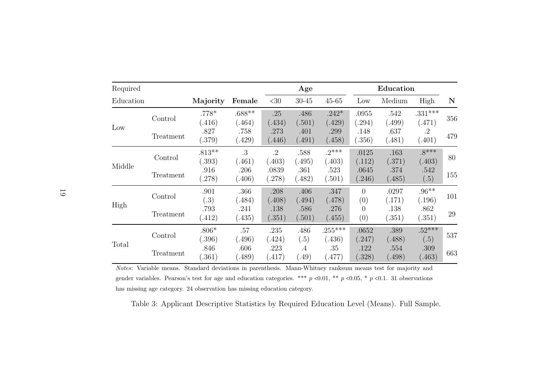| Required  |           |                    |                 |                     | Age             |                     |                       | Education       |                     |     |
|-----------|-----------|--------------------|-----------------|---------------------|-----------------|---------------------|-----------------------|-----------------|---------------------|-----|
| Education |           | Majority           | Female          | $<$ 30              | $30 - 45$       | $45 - 65$           | Low                   | Medium          | High                | N   |
|           | Control   | $.778*$            | $.688**$        | .25                 | .486            | $.242*$             | .0955                 | .542            | $.331***$           | 356 |
| Low       |           | (.416)<br>.827     | (.464)<br>.758  | (.434)<br>.273      | (.501)<br>.401  | (.429)<br>.299      | (.294)<br>.148        | (.499)<br>.637  | (.471)<br>$\cdot$ 2 |     |
|           | Treatment | (.379)             | (429)           | (0.446)             | (.491)          | (.458)              | (.356)                | (.481)          | (.401)              | 479 |
| Middle    | Control   | $.813**$<br>(.393) | .3<br>(.461)    | $\cdot$ 2<br>(.403) | .588<br>(.495)  | $.2***$<br>(.403)   | .0125<br>(.112)       | .163<br>(.371)  | $.8***$<br>(.403)   | 80  |
|           | Treatment | .916<br>(.278)     | .206<br>(0.406) | .0839<br>(278)      | .361<br>(.482)  | .523<br>(.501)      | .0645<br>(.246)       | .374<br>(.485)  | .542<br>(.5)        | 155 |
|           | Control   | .901<br>(.3)       | .366<br>(0.484) | .208<br>(.408)      | .406<br>(494)   | .347<br>(.478)      | $\overline{0}$<br>(0) | .0297<br>(.171) | $.96**$<br>(.196)   | 101 |
| High      | Treatment | .793<br>(412)      | .241<br>(435)   | .138<br>(.351)      | .586<br>(.501)  | .276<br>(.455)      | $\Omega$<br>(0)       | .138<br>(.351)  | .862<br>(.351)      | 29  |
|           | Control   | $.806*$<br>(.396)  | .57<br>(0.496)  | .235<br>(424)       | .486<br>(.5)    | $.255***$<br>(.436) | .0652<br>(.247)       | .389<br>(.488)  | $.52***$<br>(.5)    | 537 |
| Total     | Treatment | .846<br>(.361)     | .606<br>(0.489) | .223<br>(.417)      | $.4\,$<br>(.49) | .35<br>(.477)       | .122<br>(.328)        | .554<br>(.498)  | .309<br>(0.463)     | 663 |

Notes: Variable means. Standard deviations in parenthesis. Mann-Whitney ranksum means test for majority andgender variables. Pearson's test for age and education categories. \*\*\*  $p \lt 0.01$ , \*\*  $p \lt 0.05$ , \*  $p \lt 0.1$ . 31 observations has missing age category. <sup>24</sup> observation has missing education category.

Table 3: Applicant Descriptive Statistics by Required Education Level (Means). Full Sample.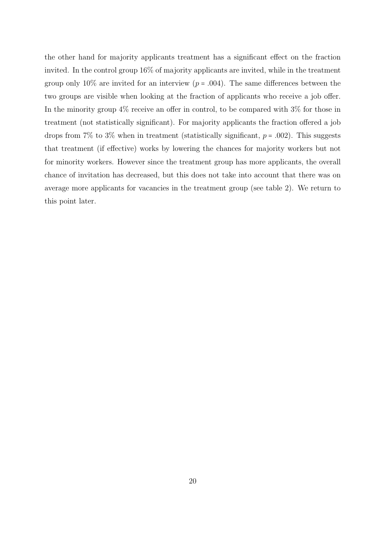the other hand for majority applicants treatment has a significant effect on the fraction invited. In the control group 16% of majority applicants are invited, while in the treatment group only 10% are invited for an interview ( $p = .004$ ). The same differences between the two groups are visible when looking at the fraction of applicants who receive a job offer. In the minority group  $4\%$  receive an offer in control, to be compared with  $3\%$  for those in treatment (not statistically significant). For majority applicants the fraction offered a job drops from 7% to 3% when in treatment (statistically significant,  $p = .002$ ). This suggests that treatment (if effective) works by lowering the chances for majority workers but not for minority workers. However since the treatment group has more applicants, the overall chance of invitation has decreased, but this does not take into account that there was on average more applicants for vacancies in the treatment group (see table 2). We return to this point later.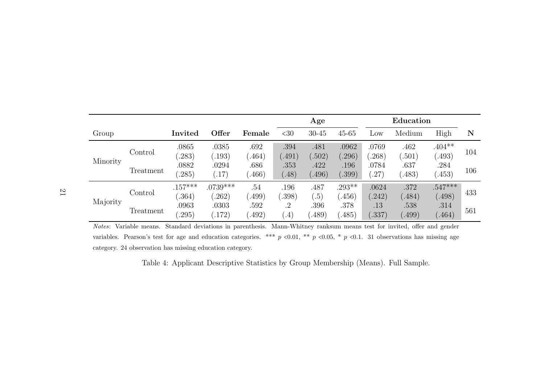|          |                      |                                  |                                  |                                   | Age                             |                                  |                                 | Education                       |                                 |                                      |            |
|----------|----------------------|----------------------------------|----------------------------------|-----------------------------------|---------------------------------|----------------------------------|---------------------------------|---------------------------------|---------------------------------|--------------------------------------|------------|
| Group    |                      | Invited                          | Offer                            | Female                            | <30                             | $30 - 45$                        | $45 - 65$                       | Low                             | Medium                          | High                                 | N          |
| Minority | Control<br>Treatment | .0865<br>.283)<br>.0882<br>.285) | .0385<br>(.193)<br>.0294<br>.17) | .692<br>(0.464)<br>.686<br>(.466) | .394<br>(.491)<br>.353<br>(.48) | .481<br>(.502)<br>.422<br>(.496) | .0962<br>.296)<br>.196<br>.399) | .0769<br>.268)<br>.0784<br>.27) | .462<br>(.501)<br>.637<br>.483) | $.404**$<br>$-493)$<br>.284<br>(453) | 104<br>106 |
|          | Control              | $.157***$<br>.364)               | $.0739***$<br>.262)              | .54<br>(.499)                     | .196<br>(.398)                  | .487<br>$\left( .5\right)$       | $.293**$<br>(.456)              | .0624<br>$-242)$                | .372<br>.484)                   | $.547***$<br>(0.498)                 | 433        |
| Majority | Treatment            | .0963<br>.295)                   | .0303<br>(172)                   | .592<br>(0.492)                   | $\cdot$ 2<br>$\left( .4\right)$ | .396<br>(.489)                   | .378<br>(0.485)                 | .13<br>(.337)                   | .538<br>(.499)                  | .314<br>(0.464)                      | 561        |

Notes: Variable means. Standard deviations in parenthesis. Mann-Whitney ranksum means test for invited, offer and gender variables. Pearson's test for age and education categories. \*\*\*  $p \lt 0.01$ , \*\*  $p \lt 0.05$ , \*  $p \lt 0.1$ . 31 observations has missing age category. <sup>24</sup> observation has missing education category.

Table 4: Applicant Descriptive Statistics by Group Membership (Means). Full Sample.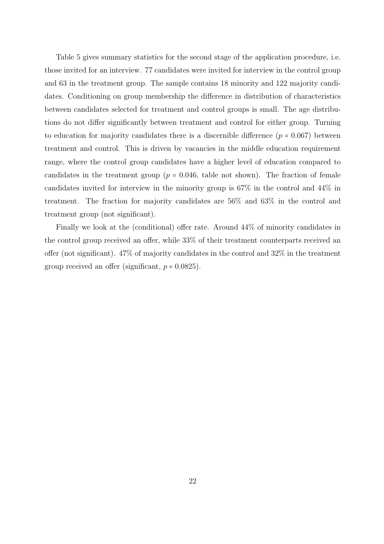Table 5 gives summary statistics for the second stage of the application procedure, i.e. those invited for an interview. 77 candidates were invited for interview in the control group and 63 in the treatment group. The sample contains 18 minority and 122 majority candidates. Conditioning on group membership the difference in distribution of characteristics between candidates selected for treatment and control groups is small. The age distributions do not differ significantly between treatment and control for either group. Turning to education for majority candidates there is a discernible difference  $(p = 0.067)$  between treatment and control. This is driven by vacancies in the middle education requirement range, where the control group candidates have a higher level of education compared to candidates in the treatment group ( $p = 0.046$ , table not shown). The fraction of female candidates invited for interview in the minority group is 67% in the control and 44% in treatment. The fraction for majority candidates are 56% and 63% in the control and treatment group (not significant).

Finally we look at the (conditional) offer rate. Around 44% of minority candidates in the control group received an offer, while 33% of their treatment counterparts received an offer (not significant). 47% of majority candidates in the control and 32% in the treatment group received an offer (significant,  $p = 0.0825$ ).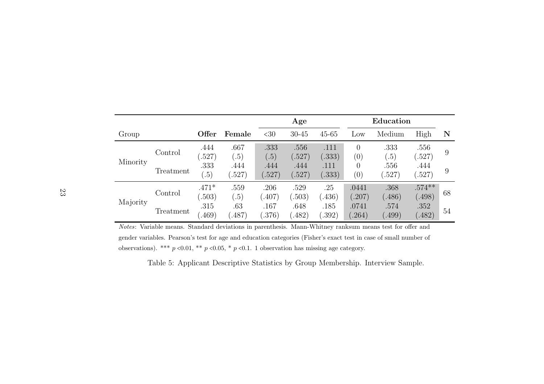|          |           |                   |                | Age                        |                |                | Education                     |                |                    |    |
|----------|-----------|-------------------|----------------|----------------------------|----------------|----------------|-------------------------------|----------------|--------------------|----|
| Group    |           | Offer             | Female         | <30                        | $30 - 45$      | $45 - 65$      | Low                           | Medium         | High               | N  |
| Minority | Control   | .444<br>(.527)    | .667<br>.5)    | .333<br>$\left( .5\right)$ | .556<br>(.527) | .111<br>(.333) | $\overline{0}$<br>(0)         | .333<br>.5)    | .556<br>(.527)     | 9  |
|          | Treatment | .333<br>(.5)      | .444<br>(.527) | .444<br>(.527)             | .444<br>(.527) | .111<br>(.333) | $\theta$<br>$\left( 0\right)$ | .556<br>(.527) | .444<br>(.527)     | 9  |
|          | Control   | $.471*$<br>(.503) | .559<br>.5)    | .206<br>(0.407)            | .529<br>(.503) | .25<br>.436)   | .0441<br>(.207)               | .368<br>.486)  | $.574**$<br>(.498) | 68 |
| Majority | Treatment | .315<br>(0.469)   | .63<br>(0.487) | .167<br>(.376)             | .648<br>(.482) | .185<br>.392)  | .0741<br>.264)                | .574<br>(499)  | .352<br>(.482)     | 54 |

Notes: Variable means. Standard deviations in parenthesis. Mann-Whitney ranksum means test for offer andgender variables. Pearson's test for age and education categories (Fisher's exact test in case of small number of observations). \*\*\*  $p \le 0.01$ , \*\*  $p \le 0.05$ , \*  $p \le 0.1$ . 1 observation has missing age category.

Table 5: Applicant Descriptive Statistics by Group Membership. Interview Sample.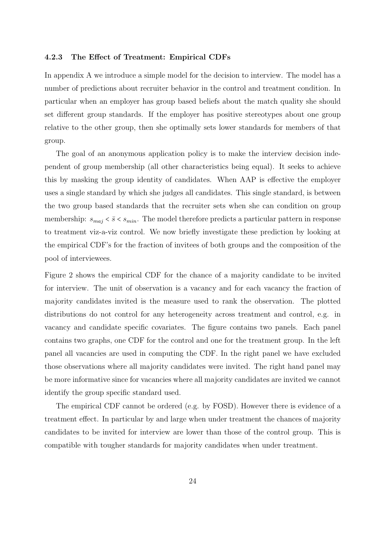#### 4.2.3 The Effect of Treatment: Empirical CDFs

In appendix A we introduce a simple model for the decision to interview. The model has a number of predictions about recruiter behavior in the control and treatment condition. In particular when an employer has group based beliefs about the match quality she should set different group standards. If the employer has positive stereotypes about one group relative to the other group, then she optimally sets lower standards for members of that group.

The goal of an anonymous application policy is to make the interview decision independent of group membership (all other characteristics being equal). It seeks to achieve this by masking the group identity of candidates. When AAP is effective the employer uses a single standard by which she judges all candidates. This single standard, is between the two group based standards that the recruiter sets when she can condition on group membership:  $s_{maj} < \bar{s} < s_{min}$ . The model therefore predicts a particular pattern in response to treatment viz-a-viz control. We now briefly investigate these prediction by looking at the empirical CDF's for the fraction of invitees of both groups and the composition of the pool of interviewees.

Figure 2 shows the empirical CDF for the chance of a majority candidate to be invited for interview. The unit of observation is a vacancy and for each vacancy the fraction of majority candidates invited is the measure used to rank the observation. The plotted distributions do not control for any heterogeneity across treatment and control, e.g. in vacancy and candidate specific covariates. The figure contains two panels. Each panel contains two graphs, one CDF for the control and one for the treatment group. In the left panel all vacancies are used in computing the CDF. In the right panel we have excluded those observations where all majority candidates were invited. The right hand panel may be more informative since for vacancies where all majority candidates are invited we cannot identify the group specific standard used.

The empirical CDF cannot be ordered (e.g. by FOSD). However there is evidence of a treatment effect. In particular by and large when under treatment the chances of majority candidates to be invited for interview are lower than those of the control group. This is compatible with tougher standards for majority candidates when under treatment.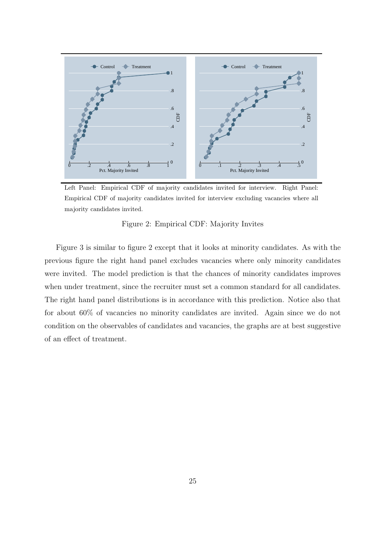

Left Panel: Empirical CDF of majority candidates invited for interview. Right Panel: Empirical CDF of majority candidates invited for interview excluding vacancies where all majority candidates invited.

#### Figure 2: Empirical CDF: Majority Invites

Figure 3 is similar to figure 2 except that it looks at minority candidates. As with the previous figure the right hand panel excludes vacancies where only minority candidates were invited. The model prediction is that the chances of minority candidates improves when under treatment, since the recruiter must set a common standard for all candidates. The right hand panel distributions is in accordance with this prediction. Notice also that for about 60% of vacancies no minority candidates are invited. Again since we do not condition on the observables of candidates and vacancies, the graphs are at best suggestive of an effect of treatment.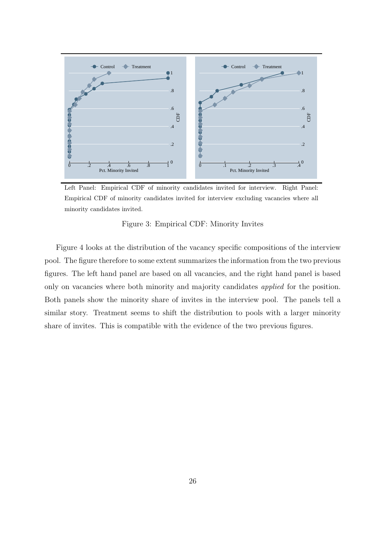

Left Panel: Empirical CDF of minority candidates invited for interview. Right Panel: Empirical CDF of minority candidates invited for interview excluding vacancies where all minority candidates invited.

#### Figure 3: Empirical CDF: Minority Invites

Figure 4 looks at the distribution of the vacancy specific compositions of the interview pool. The figure therefore to some extent summarizes the information from the two previous figures. The left hand panel are based on all vacancies, and the right hand panel is based only on vacancies where both minority and majority candidates applied for the position. Both panels show the minority share of invites in the interview pool. The panels tell a similar story. Treatment seems to shift the distribution to pools with a larger minority share of invites. This is compatible with the evidence of the two previous figures.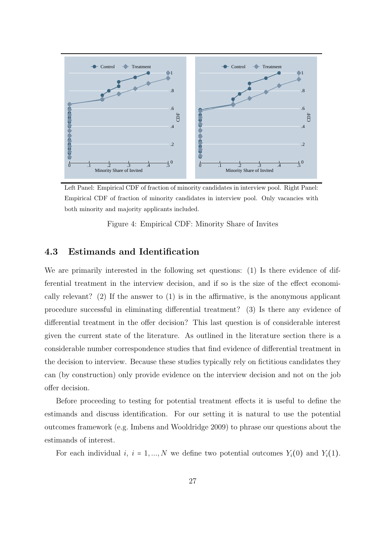

Left Panel: Empirical CDF of fraction of minority candidates in interview pool. Right Panel: Empirical CDF of fraction of minority candidates in interview pool. Only vacancies with both minority and majority applicants included.

Figure 4: Empirical CDF: Minority Share of Invites

#### 4.3 Estimands and Identification

We are primarily interested in the following set questions: (1) Is there evidence of differential treatment in the interview decision, and if so is the size of the effect economically relevant? (2) If the answer to  $(1)$  is in the affirmative, is the anonymous applicant procedure successful in eliminating differential treatment? (3) Is there any evidence of differential treatment in the offer decision? This last question is of considerable interest given the current state of the literature. As outlined in the literature section there is a considerable number correspondence studies that find evidence of differential treatment in the decision to interview. Because these studies typically rely on fictitious candidates they can (by construction) only provide evidence on the interview decision and not on the job offer decision.

Before proceeding to testing for potential treatment effects it is useful to define the estimands and discuss identification. For our setting it is natural to use the potential outcomes framework (e.g. Imbens and Wooldridge 2009) to phrase our questions about the estimands of interest.

For each individual i,  $i = 1, ..., N$  we define two potential outcomes  $Y_i(0)$  and  $Y_i(1)$ .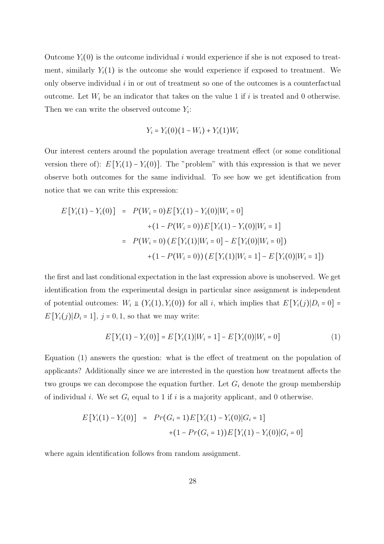Outcome  $Y_i(0)$  is the outcome individual i would experience if she is not exposed to treatment, similarly  $Y_i(1)$  is the outcome she would experience if exposed to treatment. We only observe individual i in or out of treatment so one of the outcomes is a counterfactual outcome. Let  $W_i$  be an indicator that takes on the value 1 if i is treated and 0 otherwise. Then we can write the observed outcome  $Y_i$ :

$$
Y_i = Y_i(0)(1 - W_i) + Y_i(1)W_i
$$

Our interest centers around the population average treatment effect (or some conditional version there of):  $E[Y_i(1) - Y_i(0)]$ . The "problem" with this expression is that we never observe both outcomes for the same individual. To see how we get identification from notice that we can write this expression:

$$
E[Y_i(1) - Y_i(0)] = P(W_i = 0)E[Y_i(1) - Y_i(0)|W_i = 0]
$$
  
+ 
$$
(1 - P(W_i = 0))E[Y_i(1) - Y_i(0)|W_i = 1]
$$
  
= 
$$
P(W_i = 0) (E[Y_i(1)|W_i = 0] - E[Y_i(0)|W_i = 0])
$$
  
+ 
$$
(1 - P(W_i = 0)) (E[Y_i(1)|W_i = 1] - E[Y_i(0)|W_i = 1])
$$

the first and last conditional expectation in the last expression above is unobserved. We get identification from the experimental design in particular since assignment is independent of potential outcomes:  $W_i \perp (Y_i(1), Y_i(0))$  for all i, which implies that  $E[Y_i(j)|D_i = 0] =$  $E[Y_i(j)|D_i = 1], j = 0, 1$ , so that we may write:

$$
E[Y_i(1) - Y_i(0)] = E[Y_i(1)|W_i = 1] - E[Y_i(0)|W_i = 0]
$$
\n(1)

Equation (1) answers the question: what is the effect of treatment on the population of applicants? Additionally since we are interested in the question how treatment affects the two groups we can decompose the equation further. Let  $G_i$  denote the group membership of individual *i*. We set  $G_i$  equal to 1 if *i* is a majority applicant, and 0 otherwise.

$$
E[Y_i(1) - Y_i(0)] = Pr(G_i = 1)E[Y_i(1) - Y_i(0)|G_i = 1]
$$
  
+(1 - Pr(G\_i = 1))E[Y\_i(1) - Y\_i(0)|G\_i = 0]

where again identification follows from random assignment.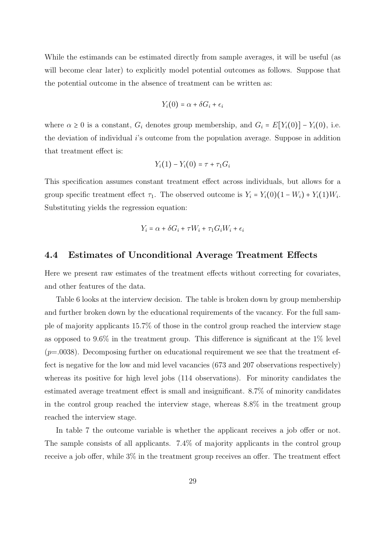While the estimands can be estimated directly from sample averages, it will be useful (as will become clear later) to explicitly model potential outcomes as follows. Suppose that the potential outcome in the absence of treatment can be written as:

$$
Y_i(0) = \alpha + \delta G_i + \epsilon_i
$$

where  $\alpha \geq 0$  is a constant,  $G_i$  denotes group membership, and  $G_i = E[Y_i(0)] - Y_i(0)$ , i.e. the deviation of individual i's outcome from the population average. Suppose in addition that treatment effect is:

$$
Y_i(1) - Y_i(0) = \tau + \tau_1 G_i
$$

This specification assumes constant treatment effect across individuals, but allows for a group specific treatment effect  $\tau_1$ . The observed outcome is  $Y_i = Y_i(0)(1 - W_i) + Y_i(1)W_i$ . Substituting yields the regression equation:

$$
Y_i = \alpha + \delta G_i + \tau W_i + \tau_1 G_i W_i + \epsilon_i
$$

#### 4.4 Estimates of Unconditional Average Treatment Effects

Here we present raw estimates of the treatment effects without correcting for covariates, and other features of the data.

Table 6 looks at the interview decision. The table is broken down by group membership and further broken down by the educational requirements of the vacancy. For the full sample of majority applicants 15.7% of those in the control group reached the interview stage as opposed to  $9.6\%$  in the treatment group. This difference is significant at the  $1\%$  level  $(p=.0038)$ . Decomposing further on educational requirement we see that the treatment effect is negative for the low and mid level vacancies (673 and 207 observations respectively) whereas its positive for high level jobs (114 observations). For minority candidates the estimated average treatment effect is small and insignificant. 8.7% of minority candidates in the control group reached the interview stage, whereas 8.8% in the treatment group reached the interview stage.

In table 7 the outcome variable is whether the applicant receives a job offer or not. The sample consists of all applicants. 7.4% of majority applicants in the control group receive a job offer, while 3% in the treatment group receives an offer. The treatment effect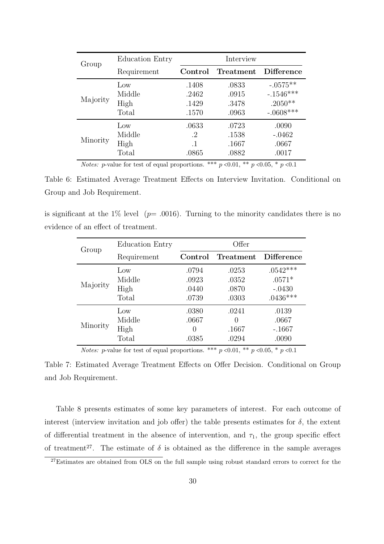| Group    | Education Entry | Interview |           |                   |  |  |  |
|----------|-----------------|-----------|-----------|-------------------|--|--|--|
|          | Requirement     | Control   | Treatment | <b>Difference</b> |  |  |  |
| Majority | Low             | .1408     | .0833     | $-.0575**$        |  |  |  |
|          | Middle          | .2462     | .0915     | $-1546***$        |  |  |  |
|          | High            | .1429     | .3478     | .2050**           |  |  |  |
|          | Total           | .1570     | .0963     | $-.0608***$       |  |  |  |
| Minority | Low             | .0633     | .0723     | .0090             |  |  |  |
|          | Middle          | .2        | .1538     | $-.0462$          |  |  |  |
|          | High            | $\cdot$ 1 | .1667     | .0667             |  |  |  |
|          | Total           | .0865     | .0882     | .0017             |  |  |  |

*Notes: p*-value for test of equal proportions. \*\*\*  $p \le 0.01$ , \*\*  $p \le 0.05$ , \*  $p \le 0.1$ 

Table 6: Estimated Average Treatment Effects on Interview Invitation. Conditional on Group and Job Requirement.

is significant at the 1% level ( $p=$  .0016). Turning to the minority candidates there is no evidence of an effect of treatment.

| Group    | Education Entry |         | Offer     |                   |
|----------|-----------------|---------|-----------|-------------------|
|          | Requirement     | Control | Treatment | <b>Difference</b> |
| Majority | Low             | .0794   | .0253     | $.0542***$        |
|          | Middle          | .0923   | .0352     | $.0571*$          |
|          | High            | .0440   | .0870     | $-.0430$          |
|          | Total           | .0739   | .0303     | $.0436***$        |
| Minority | Low             | .0380   | .0241     | .0139             |
|          | Middle          | .0667   | 0         | .0667             |
|          | High            | 0       | .1667     | $-.1667$          |
|          | Total           | .0385   | .0294     | .0090             |

*Notes: p*-value for test of equal proportions. \*\*\*  $p \le 0.01$ , \*\*  $p \le 0.05$ , \*  $p \le 0.1$ 

Table 7: Estimated Average Treatment Effects on Offer Decision. Conditional on Group and Job Requirement.

Table 8 presents estimates of some key parameters of interest. For each outcome of interest (interview invitation and job offer) the table presents estimates for  $\delta$ , the extent of differential treatment in the absence of intervention, and  $\tau_1$ , the group specific effect of treatment<sup>27</sup>. The estimate of  $\delta$  is obtained as the difference in the sample averages

<sup>&</sup>lt;sup>27</sup>Estimates are obtained from OLS on the full sample using robust standard errors to correct for the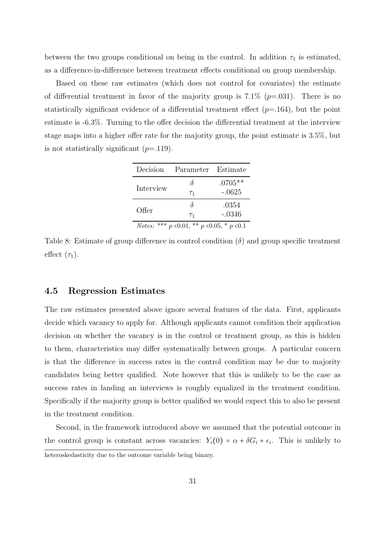between the two groups conditional on being in the control. In addition  $\tau_1$  is estimated, as a difference-in-difference between treatment effects conditional on group membership.

Based on these raw estimates (which does not control for covariates) the estimate of differential treatment in favor of the majority group is  $7.1\%$  ( $p=.031$ ). There is no statistically significant evidence of a differential treatment effect  $(p=164)$ , but the point estimate is -6.3%. Turning to the offer decision the differential treatment at the interview stage maps into a higher offer rate for the majority group, the point estimate is 3.5%, but is not statistically significant  $(p=119)$ .

| Decision                                                         | Parameter Estimate |           |  |  |  |  |
|------------------------------------------------------------------|--------------------|-----------|--|--|--|--|
| Interview                                                        |                    | $.0705**$ |  |  |  |  |
|                                                                  | $\tau_1$           | $-.0625$  |  |  |  |  |
| Offer                                                            | δ                  | .0354     |  |  |  |  |
|                                                                  | $T_1$              | $-.0346$  |  |  |  |  |
| <i>Notes:</i> *** $p \le 0.01$ , ** $p \le 0.05$ , * $p \le 0.1$ |                    |           |  |  |  |  |

Table 8: Estimate of group difference in control condition  $(\delta)$  and group specific treatment effect  $(\tau_1)$ .

#### 4.5 Regression Estimates

The raw estimates presented above ignore several features of the data. First, applicants decide which vacancy to apply for. Although applicants cannot condition their application decision on whether the vacancy is in the control or treatment group, as this is hidden to them, characteristics may differ systematically between groups. A particular concern is that the difference in success rates in the control condition may be due to majority candidates being better qualified. Note however that this is unlikely to be the case as success rates in landing an interviews is roughly equalized in the treatment condition. Specifically if the majority group is better qualified we would expect this to also be present in the treatment condition.

Second, in the framework introduced above we assumed that the potential outcome in the control group is constant across vacancies:  $Y_i(0) = \alpha + \delta G_i + \epsilon_i$ . This is unlikely to heteroskedasticity due to the outcome variable being binary.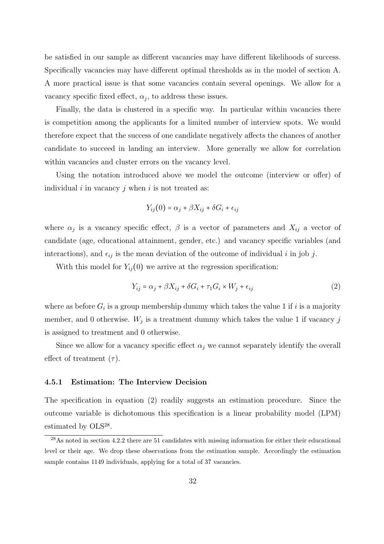be satisfied in our sample as different vacancies may have different likelihoods of success. Specifically vacancies may have different optimal thresholds as in the model of section A. A more practical issue is that some vacancies contain several openings. We allow for a vacancy specific fixed effect,  $\alpha_j$ , to address these issues.

Finally, the data is clustered in a specific way. In particular within vacancies there is competition among the applicants for a limited number of interview spots. We would therefore expect that the success of one candidate negatively affects the chances of another candidate to succeed in landing an interview. More generally we allow for correlation within vacancies and cluster errors on the vacancy level.

Using the notation introduced above we model the outcome (interview or offer) of individual  $i$  in vacancy  $j$  when  $i$  is not treated as:

$$
Y_{ij}(0) = \alpha_j + \beta X_{ij} + \delta G_i + \epsilon_{ij}
$$

where  $\alpha_j$  is a vacancy specific effect,  $\beta$  is a vector of parameters and  $X_{ij}$  a vector of candidate (age, educational attainment, gender, etc.) and vacancy specific variables (and interactions), and  $\epsilon_{ij}$  is the mean deviation of the outcome of individual i in job j.

With this model for  $Y_{ij}(0)$  we arrive at the regression specification:

$$
Y_{ij} = \alpha_j + \beta X_{ij} + \delta G_i + \tau_1 G_i \times W_j + \epsilon_{ij}
$$
\n<sup>(2)</sup>

where as before  $G_i$  is a group membership dummy which takes the value 1 if i is a majority member, and 0 otherwise.  $W_j$  is a treatment dummy which takes the value 1 if vacancy j is assigned to treatment and 0 otherwise.

Since we allow for a vacancy specific effect  $\alpha_j$  we cannot separately identify the overall effect of treatment  $(\tau)$ .

#### 4.5.1 Estimation: The Interview Decision

The specification in equation (2) readily suggests an estimation procedure. Since the outcome variable is dichotomous this specification is a linear probability model (LPM) estimated by OLS<sup>28</sup>.

<sup>28</sup>As noted in section 4.2.2 there are 51 candidates with missing information for either their educational level or their age. We drop these observations from the estimation sample. Accordingly the estimation sample contains 1149 individuals, applying for a total of 37 vacancies.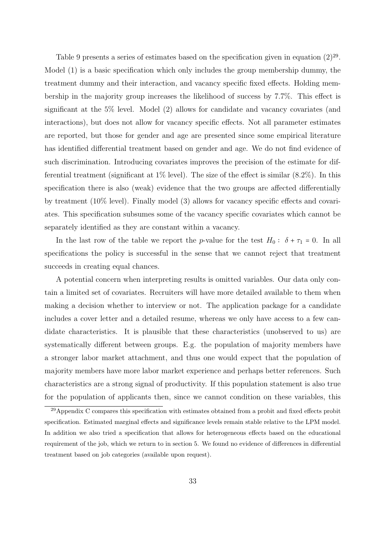Table 9 presents a series of estimates based on the specification given in equation  $(2)^{29}$ . Model (1) is a basic specification which only includes the group membership dummy, the treatment dummy and their interaction, and vacancy specific fixed effects. Holding membership in the majority group increases the likelihood of success by 7.7%. This effect is significant at the 5% level. Model (2) allows for candidate and vacancy covariates (and interactions), but does not allow for vacancy specific effects. Not all parameter estimates are reported, but those for gender and age are presented since some empirical literature has identified differential treatment based on gender and age. We do not find evidence of such discrimination. Introducing covariates improves the precision of the estimate for differential treatment (significant at  $1\%$  level). The size of the effect is similar  $(8.2\%)$ . In this specification there is also (weak) evidence that the two groups are affected differentially by treatment (10% level). Finally model (3) allows for vacancy specific effects and covariates. This specification subsumes some of the vacancy specific covariates which cannot be separately identified as they are constant within a vacancy.

In the last row of the table we report the p-value for the test  $H_0: \delta + \tau_1 = 0$ . In all specifications the policy is successful in the sense that we cannot reject that treatment succeeds in creating equal chances.

A potential concern when interpreting results is omitted variables. Our data only contain a limited set of covariates. Recruiters will have more detailed available to them when making a decision whether to interview or not. The application package for a candidate includes a cover letter and a detailed resume, whereas we only have access to a few candidate characteristics. It is plausible that these characteristics (unobserved to us) are systematically different between groups. E.g. the population of majority members have a stronger labor market attachment, and thus one would expect that the population of majority members have more labor market experience and perhaps better references. Such characteristics are a strong signal of productivity. If this population statement is also true for the population of applicants then, since we cannot condition on these variables, this

<sup>&</sup>lt;sup>29</sup>Appendix C compares this specification with estimates obtained from a probit and fixed effects probit specification. Estimated marginal effects and significance levels remain stable relative to the LPM model. In addition we also tried a specification that allows for heterogeneous effects based on the educational requirement of the job, which we return to in section 5. We found no evidence of differences in differential treatment based on job categories (available upon request).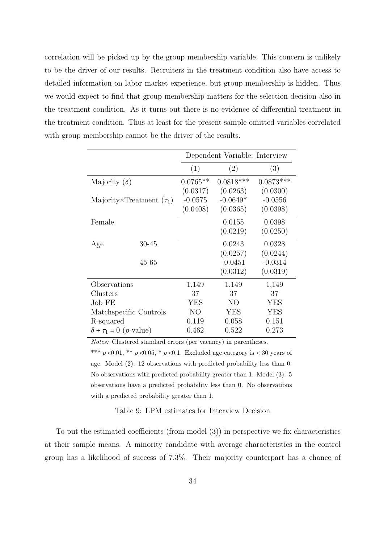correlation will be picked up by the group membership variable. This concern is unlikely to be the driver of our results. Recruiters in the treatment condition also have access to detailed information on labor market experience, but group membership is hidden. Thus we would expect to find that group membership matters for the selection decision also in the treatment condition. As it turns out there is no evidence of differential treatment in the treatment condition. Thus at least for the present sample omitted variables correlated with group membership cannot be the driver of the results.

|                                          |           |                | Dependent Variable: Interview |             |
|------------------------------------------|-----------|----------------|-------------------------------|-------------|
|                                          |           | (1)            | (2)                           | (3)         |
| Majority $(\delta)$                      |           | $0.0765**$     | $0.0818***$                   | $0.0873***$ |
|                                          |           | (0.0317)       | (0.0263)                      | (0.0300)    |
| Majority×Treatment $(\tau_1)$            |           | $-0.0575$      | $-0.0649*$                    | $-0.0556$   |
|                                          |           | (0.0408)       | (0.0365)                      | (0.0398)    |
| Female                                   |           |                | 0.0155                        | 0.0398      |
|                                          |           |                | (0.0219)                      | (0.0250)    |
| Age                                      | $30 - 45$ |                | 0.0243                        | 0.0328      |
|                                          |           |                | (0.0257)                      | (0.0244)    |
|                                          | 45-65     |                | $-0.0451$                     | $-0.0314$   |
|                                          |           |                | (0.0312)                      | (0.0319)    |
| Observations                             |           | 1,149          | 1,149                         | 1,149       |
| Clusters                                 |           | 37             | 37                            | 37          |
| Job FE                                   |           | <b>YES</b>     | NO                            | YES         |
| Matchspecific Controls                   |           | N <sub>O</sub> | <b>YES</b>                    | <b>YES</b>  |
| R-squared                                |           | 0.119          | 0.058                         | 0.151       |
| $\delta + \tau_1 = 0$ ( <i>p</i> -value) |           | 0.462          | 0.522                         | 0.273       |

Notes: Clustered standard errors (per vacancy) in parentheses.

\*\*\*  $p \le 0.01$ , \*\*  $p \le 0.05$ , \*  $p \le 0.1$ . Excluded age category is  $\le 30$  years of age. Model (2): 12 observations with predicted probability less than 0. No observations with predicted probability greater than 1. Model (3): 5 observations have a predicted probability less than 0. No observations with a predicted probability greater than 1.

Table 9: LPM estimates for Interview Decision

To put the estimated coefficients (from model (3)) in perspective we fix characteristics at their sample means. A minority candidate with average characteristics in the control group has a likelihood of success of 7.3%. Their majority counterpart has a chance of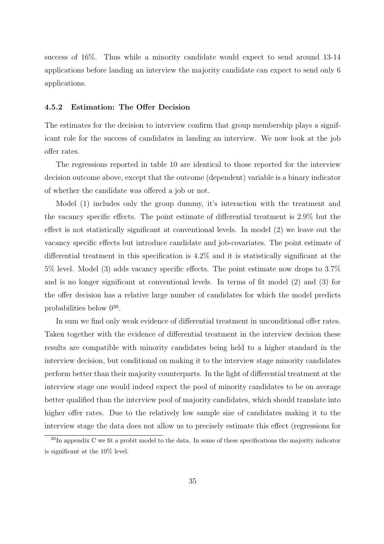success of 16%. Thus while a minority candidate would expect to send around 13-14 applications before landing an interview the majority candidate can expect to send only 6 applications.

#### 4.5.2 Estimation: The Offer Decision

The estimates for the decision to interview confirm that group membership plays a significant role for the success of candidates in landing an interview. We now look at the job offer rates.

The regressions reported in table 10 are identical to those reported for the interview decision outcome above, except that the outcome (dependent) variable is a binary indicator of whether the candidate was offered a job or not.

Model (1) includes only the group dummy, it's interaction with the treatment and the vacancy specific effects. The point estimate of differential treatment is 2.9% but the effect is not statistically significant at conventional levels. In model (2) we leave out the vacancy specific effects but introduce candidate and job-covariates. The point estimate of differential treatment in this specification is 4.2% and it is statistically significant at the 5% level. Model (3) adds vacancy specific effects. The point estimate now drops to 3.7% and is no longer significant at conventional levels. In terms of fit model (2) and (3) for the offer decision has a relative large number of candidates for which the model predicts probabilities below  $0^{30}$ .

In sum we find only weak evidence of differential treatment in unconditional offer rates. Taken together with the evidence of differential treatment in the interview decision these results are compatible with minority candidates being held to a higher standard in the interview decision, but conditional on making it to the interview stage minority candidates perform better than their majority counterparts. In the light of differential treatment at the interview stage one would indeed expect the pool of minority candidates to be on average better qualified than the interview pool of majority candidates, which should translate into higher offer rates. Due to the relatively low sample size of candidates making it to the interview stage the data does not allow us to precisely estimate this effect (regressions for

 $30$ In appendix C we fit a probit model to the data. In some of these specifications the majority indicator is significant at the 10% level.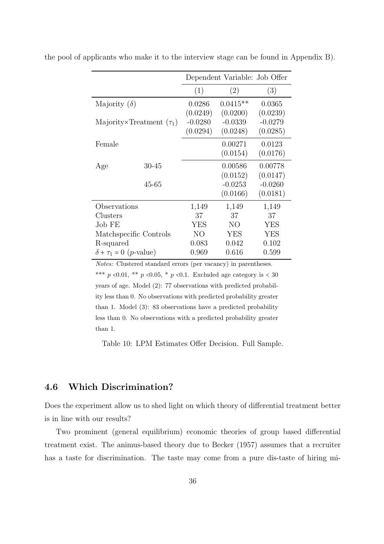|                                          |                        |            | Dependent Variable: Job Offer |           |
|------------------------------------------|------------------------|------------|-------------------------------|-----------|
|                                          |                        | (1)        | (2)                           | (3)       |
| Majority $(\delta)$                      |                        | 0.0286     | $0.0415**$                    | 0.0365    |
|                                          |                        | (0.0249)   | (0.0200)                      | (0.0239)  |
| Majority×Treatment $(\tau_1)$            |                        | $-0.0280$  | $-0.0339$                     | $-0.0279$ |
|                                          |                        | (0.0294)   | (0.0248)                      | (0.0285)  |
| Female                                   |                        |            | 0.00271                       | 0.0123    |
|                                          |                        |            | (0.0154)                      | (0.0176)  |
| Age                                      | $30 - 45$              |            | 0.00586                       | 0.00778   |
|                                          |                        |            | (0.0152)                      | (0.0147)  |
|                                          | 45-65                  |            | $-0.0253$                     | $-0.0260$ |
|                                          |                        |            | (0.0166)                      | (0.0181)  |
| Observations                             |                        | 1,149      | 1,149                         | 1,149     |
| Clusters                                 |                        | 37         | 37                            | 37        |
| Job FE                                   |                        | <b>YES</b> | NO                            | YES       |
|                                          | Matchspecific Controls | NO         | YES                           | YES       |
| R-squared                                |                        | 0.083      | 0.042                         | 0.102     |
| $\delta + \tau_1 = 0$ ( <i>p</i> -value) |                        | 0.969      | 0.616                         | 0.599     |

the pool of applicants who make it to the interview stage can be found in Appendix B).

Notes: Clustered standard errors (per vacancy) in parentheses. \*\*\* p <0.01, \*\* p <0.05, \* p <0.1. Excluded age category is < 30 years of age. Model (2): 77 observations with predicted probability less than 0. No observations with predicted probability greater than 1. Model (3): 83 observations have a predicted probability less than 0. No observations with a predicted probability greater than 1.

Table 10: LPM Estimates Offer Decision. Full Sample.

#### 4.6 Which Discrimination?

Does the experiment allow us to shed light on which theory of differential treatment better is in line with our results?

Two prominent (general equilibrium) economic theories of group based differential treatment exist. The animus-based theory due to Becker (1957) assumes that a recruiter has a taste for discrimination. The taste may come from a pure dis-taste of hiring mi-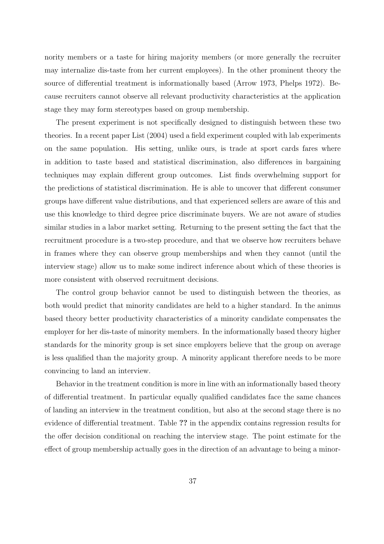nority members or a taste for hiring majority members (or more generally the recruiter may internalize dis-taste from her current employees). In the other prominent theory the source of differential treatment is informationally based (Arrow 1973, Phelps 1972). Because recruiters cannot observe all relevant productivity characteristics at the application stage they may form stereotypes based on group membership.

The present experiment is not specifically designed to distinguish between these two theories. In a recent paper List (2004) used a field experiment coupled with lab experiments on the same population. His setting, unlike ours, is trade at sport cards fares where in addition to taste based and statistical discrimination, also differences in bargaining techniques may explain different group outcomes. List finds overwhelming support for the predictions of statistical discrimination. He is able to uncover that different consumer groups have different value distributions, and that experienced sellers are aware of this and use this knowledge to third degree price discriminate buyers. We are not aware of studies similar studies in a labor market setting. Returning to the present setting the fact that the recruitment procedure is a two-step procedure, and that we observe how recruiters behave in frames where they can observe group memberships and when they cannot (until the interview stage) allow us to make some indirect inference about which of these theories is more consistent with observed recruitment decisions.

The control group behavior cannot be used to distinguish between the theories, as both would predict that minority candidates are held to a higher standard. In the animus based theory better productivity characteristics of a minority candidate compensates the employer for her dis-taste of minority members. In the informationally based theory higher standards for the minority group is set since employers believe that the group on average is less qualified than the majority group. A minority applicant therefore needs to be more convincing to land an interview.

Behavior in the treatment condition is more in line with an informationally based theory of differential treatment. In particular equally qualified candidates face the same chances of landing an interview in the treatment condition, but also at the second stage there is no evidence of differential treatment. Table ?? in the appendix contains regression results for the offer decision conditional on reaching the interview stage. The point estimate for the effect of group membership actually goes in the direction of an advantage to being a minor-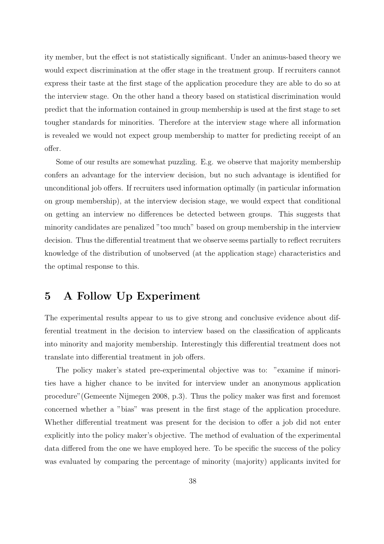ity member, but the effect is not statistically significant. Under an animus-based theory we would expect discrimination at the offer stage in the treatment group. If recruiters cannot express their taste at the first stage of the application procedure they are able to do so at the interview stage. On the other hand a theory based on statistical discrimination would predict that the information contained in group membership is used at the first stage to set tougher standards for minorities. Therefore at the interview stage where all information is revealed we would not expect group membership to matter for predicting receipt of an offer.

Some of our results are somewhat puzzling. E.g. we observe that majority membership confers an advantage for the interview decision, but no such advantage is identified for unconditional job offers. If recruiters used information optimally (in particular information on group membership), at the interview decision stage, we would expect that conditional on getting an interview no differences be detected between groups. This suggests that minority candidates are penalized "too much" based on group membership in the interview decision. Thus the differential treatment that we observe seems partially to reflect recruiters knowledge of the distribution of unobserved (at the application stage) characteristics and the optimal response to this.

## 5 A Follow Up Experiment

The experimental results appear to us to give strong and conclusive evidence about differential treatment in the decision to interview based on the classification of applicants into minority and majority membership. Interestingly this differential treatment does not translate into differential treatment in job offers.

The policy maker's stated pre-experimental objective was to: "examine if minorities have a higher chance to be invited for interview under an anonymous application procedure"(Gemeente Nijmegen 2008, p.3). Thus the policy maker was first and foremost concerned whether a "bias" was present in the first stage of the application procedure. Whether differential treatment was present for the decision to offer a job did not enter explicitly into the policy maker's objective. The method of evaluation of the experimental data differed from the one we have employed here. To be specific the success of the policy was evaluated by comparing the percentage of minority (majority) applicants invited for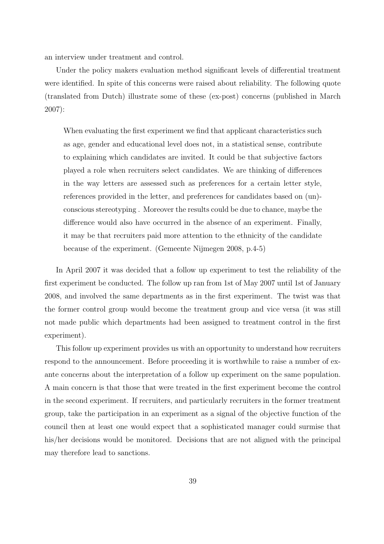an interview under treatment and control.

Under the policy makers evaluation method significant levels of differential treatment were identified. In spite of this concerns were raised about reliability. The following quote (translated from Dutch) illustrate some of these (ex-post) concerns (published in March 2007):

When evaluating the first experiment we find that applicant characteristics such as age, gender and educational level does not, in a statistical sense, contribute to explaining which candidates are invited. It could be that subjective factors played a role when recruiters select candidates. We are thinking of differences in the way letters are assessed such as preferences for a certain letter style, references provided in the letter, and preferences for candidates based on (un) conscious stereotyping . Moreover the results could be due to chance, maybe the difference would also have occurred in the absence of an experiment. Finally, it may be that recruiters paid more attention to the ethnicity of the candidate because of the experiment. (Gemeente Nijmegen 2008, p.4-5)

In April 2007 it was decided that a follow up experiment to test the reliability of the first experiment be conducted. The follow up ran from 1st of May 2007 until 1st of January 2008, and involved the same departments as in the first experiment. The twist was that the former control group would become the treatment group and vice versa (it was still not made public which departments had been assigned to treatment control in the first experiment).

This follow up experiment provides us with an opportunity to understand how recruiters respond to the announcement. Before proceeding it is worthwhile to raise a number of exante concerns about the interpretation of a follow up experiment on the same population. A main concern is that those that were treated in the first experiment become the control in the second experiment. If recruiters, and particularly recruiters in the former treatment group, take the participation in an experiment as a signal of the objective function of the council then at least one would expect that a sophisticated manager could surmise that his/her decisions would be monitored. Decisions that are not aligned with the principal may therefore lead to sanctions.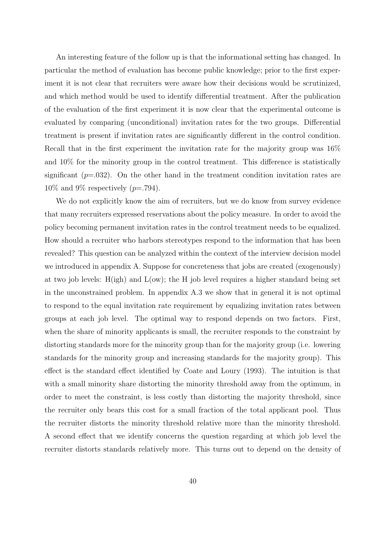An interesting feature of the follow up is that the informational setting has changed. In particular the method of evaluation has become public knowledge; prior to the first experiment it is not clear that recruiters were aware how their decisions would be scrutinized, and which method would be used to identify differential treatment. After the publication of the evaluation of the first experiment it is now clear that the experimental outcome is evaluated by comparing (unconditional) invitation rates for the two groups. Differential treatment is present if invitation rates are significantly different in the control condition. Recall that in the first experiment the invitation rate for the majority group was 16% and 10% for the minority group in the control treatment. This difference is statistically significant  $(p=.032)$ . On the other hand in the treatment condition invitation rates are  $10\%$  and 9% respectively (*p*=.794).

We do not explicitly know the aim of recruiters, but we do know from survey evidence that many recruiters expressed reservations about the policy measure. In order to avoid the policy becoming permanent invitation rates in the control treatment needs to be equalized. How should a recruiter who harbors stereotypes respond to the information that has been revealed? This question can be analyzed within the context of the interview decision model we introduced in appendix A. Suppose for concreteness that jobs are created (exogenously) at two job levels:  $H(igh)$  and  $L(ow)$ ; the H job level requires a higher standard being set in the unconstrained problem. In appendix A.3 we show that in general it is not optimal to respond to the equal invitation rate requirement by equalizing invitation rates between groups at each job level. The optimal way to respond depends on two factors. First, when the share of minority applicants is small, the recruiter responds to the constraint by distorting standards more for the minority group than for the majority group (i.e. lowering standards for the minority group and increasing standards for the majority group). This effect is the standard effect identified by Coate and Loury (1993). The intuition is that with a small minority share distorting the minority threshold away from the optimum, in order to meet the constraint, is less costly than distorting the majority threshold, since the recruiter only bears this cost for a small fraction of the total applicant pool. Thus the recruiter distorts the minority threshold relative more than the minority threshold. A second effect that we identify concerns the question regarding at which job level the recruiter distorts standards relatively more. This turns out to depend on the density of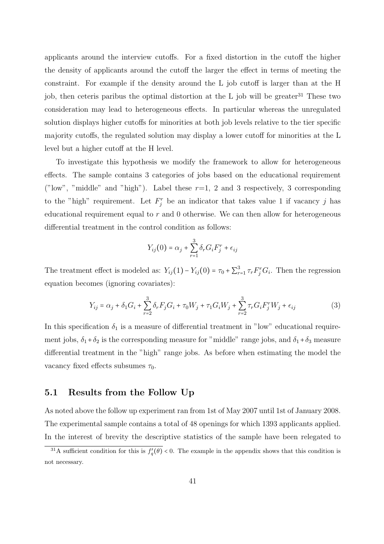applicants around the interview cutoffs. For a fixed distortion in the cutoff the higher the density of applicants around the cutoff the larger the effect in terms of meeting the constraint. For example if the density around the L job cutoff is larger than at the H job, then ceteris paribus the optimal distortion at the L job will be greater<sup>31</sup> These two consideration may lead to heterogeneous effects. In particular whereas the unregulated solution displays higher cutoffs for minorities at both job levels relative to the tier specific majority cutoffs, the regulated solution may display a lower cutoff for minorities at the L level but a higher cutoff at the H level.

To investigate this hypothesis we modify the framework to allow for heterogeneous effects. The sample contains 3 categories of jobs based on the educational requirement ("low", "middle" and "high"). Label these  $r=1$ , 2 and 3 respectively, 3 corresponding to the "high" requirement. Let  $F_j^r$  be an indicator that takes value 1 if vacancy j has educational requirement equal to  $r$  and 0 otherwise. We can then allow for heterogeneous differential treatment in the control condition as follows:

$$
Y_{ij}(0) = \alpha_j + \sum_{r=1}^{3} \delta_r G_i F_j^r + \epsilon_{ij}
$$

The treatment effect is modeled as:  $Y_{ij}(1) - Y_{ij}(0) = \tau_0 + \sum_{r=1}^{3} \tau_r F_j^r G_i$ . Then the regression equation becomes (ignoring covariates):

$$
Y_{ij} = \alpha_j + \delta_1 G_i + \sum_{r=2}^{3} \delta_r F_j G_i + \tau_0 W_j + \tau_1 G_i W_j + \sum_{r=2}^{3} \tau_r G_i F_j^r W_j + \epsilon_{ij}
$$
(3)

In this specification  $\delta_1$  is a measure of differential treatment in "low" educational requirement jobs,  $\delta_1 + \delta_2$  is the corresponding measure for "middle" range jobs, and  $\delta_1 + \delta_3$  measure differential treatment in the "high" range jobs. As before when estimating the model the vacancy fixed effects subsumes  $\tau_0$ .

#### 5.1 Results from the Follow Up

As noted above the follow up experiment ran from 1st of May 2007 until 1st of January 2008. The experimental sample contains a total of 48 openings for which 1393 applicants applied. In the interest of brevity the descriptive statistics of the sample have been relegated to

<sup>&</sup>lt;sup>31</sup>A sufficient condition for this is  $f_q(\theta) < 0$ . The example in the appendix shows that this condition is not necessary.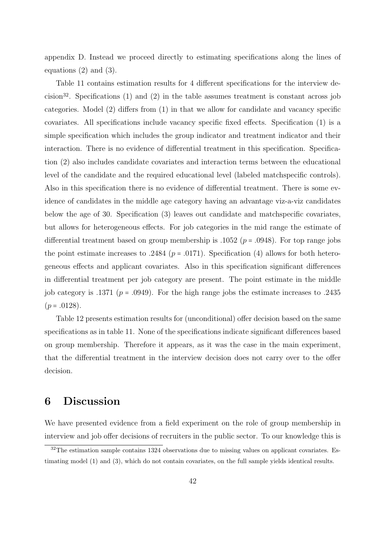appendix D. Instead we proceed directly to estimating specifications along the lines of equations (2) and (3).

Table 11 contains estimation results for 4 different specifications for the interview decision<sup>32</sup>. Specifications (1) and (2) in the table assumes treatment is constant across job categories. Model (2) differs from (1) in that we allow for candidate and vacancy specific covariates. All specifications include vacancy specific fixed effects. Specification (1) is a simple specification which includes the group indicator and treatment indicator and their interaction. There is no evidence of differential treatment in this specification. Specification (2) also includes candidate covariates and interaction terms between the educational level of the candidate and the required educational level (labeled matchspecific controls). Also in this specification there is no evidence of differential treatment. There is some evidence of candidates in the middle age category having an advantage viz-a-viz candidates below the age of 30. Specification (3) leaves out candidate and matchspecific covariates, but allows for heterogeneous effects. For job categories in the mid range the estimate of differential treatment based on group membership is .1052 ( $p = .0948$ ). For top range jobs the point estimate increases to .2484 ( $p = .0171$ ). Specification (4) allows for both heterogeneous effects and applicant covariates. Also in this specification significant differences in differential treatment per job category are present. The point estimate in the middle job category is .1371 ( $p = .0949$ ). For the high range jobs the estimate increases to .2435  $(p=.0128).$ 

Table 12 presents estimation results for (unconditional) offer decision based on the same specifications as in table 11. None of the specifications indicate significant differences based on group membership. Therefore it appears, as it was the case in the main experiment, that the differential treatment in the interview decision does not carry over to the offer decision.

# 6 Discussion

We have presented evidence from a field experiment on the role of group membership in interview and job offer decisions of recruiters in the public sector. To our knowledge this is

 $32$ The estimation sample contains 1324 observations due to missing values on applicant covariates. Estimating model (1) and (3), which do not contain covariates, on the full sample yields identical results.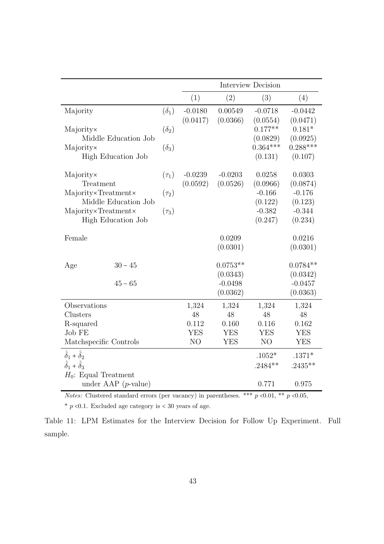|                                                                        |              |                       |                        | <b>Interview Decision</b> |                        |
|------------------------------------------------------------------------|--------------|-----------------------|------------------------|---------------------------|------------------------|
|                                                                        |              | (1)                   | (2)                    | (3)                       | (4)                    |
| Majority                                                               | $(\delta_1)$ | $-0.0180$<br>(0.0417) | 0.00549<br>(0.0366)    | $-0.0718$<br>(0.0554)     | $-0.0442$<br>(0.0471)  |
| Majority×<br>Middle Education Job                                      | $(\delta_2)$ |                       |                        | $0.177**$<br>(0.0829)     | $0.181*$<br>(0.0925)   |
| Majority×<br>High Education Job                                        | $(\delta_3)$ |                       |                        | $0.364***$<br>(0.131)     | $0.288***$<br>(0.107)  |
| Majority×<br>Treatment                                                 | $(\tau_1)$   | $-0.0239$<br>(0.0592) | $-0.0203$<br>(0.0526)  | 0.0258<br>(0.0966)        | 0.0303<br>(0.0874)     |
| Majority×Treatment×<br>Middle Education Job                            | $(\tau_2)$   |                       |                        | $-0.166$<br>(0.122)       | $-0.176$<br>(0.123)    |
| Majority×Treatment×<br>High Education Job                              | $(\tau_3)$   |                       |                        | $-0.382$<br>(0.247)       | $-0.344$<br>(0.234)    |
| Female                                                                 |              |                       | 0.0209<br>(0.0301)     |                           | 0.0216<br>(0.0301)     |
| $30 - 45$<br>Age                                                       |              |                       | $0.0753**$<br>(0.0343) |                           | $0.0784**$<br>(0.0342) |
| $45 - 65$                                                              |              |                       | $-0.0498$<br>(0.0362)  |                           | $-0.0457$<br>(0.0363)  |
| Observations                                                           |              | 1,324                 | 1,324                  | 1,324                     | 1,324                  |
| Clusters<br>R-squared                                                  |              | 48<br>0.112           | 48<br>0.160            | 48<br>0.116               | 48<br>0.162            |
| Job FE                                                                 |              | <b>YES</b>            | <b>YES</b>             | <b>YES</b>                | <b>YES</b>             |
| Matchspecific Controls                                                 |              | NO                    | <b>YES</b>             | NO                        | <b>YES</b>             |
| $\hat{\delta}_1 + \hat{\delta}_2$<br>$\hat{\delta}_1 + \hat{\delta}_3$ |              |                       |                        | $.1052*$<br>$.2484**$     | $.1371*$<br>$.2435**$  |
| $H_0$ : Equal Treatment<br>under AAP $(p\text{-value})$                |              |                       |                        | 0.771                     | 0.975                  |

*Notes:* Clustered standard errors (per vacancy) in parentheses. \*\*\*  $p \le 0.01$ , \*\*  $p \le 0.05$ ,

 $^{\ast}$   $p$  <0.1. Excluded age category is  $<$  30 years of age.

Table 11: LPM Estimates for the Interview Decision for Follow Up Experiment. Full sample.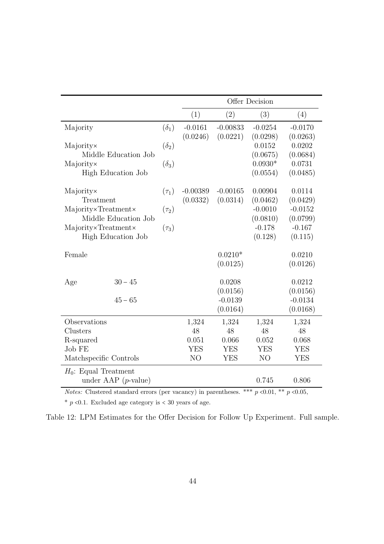|                                 |              |                |            | Offer Decision        |                    |
|---------------------------------|--------------|----------------|------------|-----------------------|--------------------|
|                                 |              | (1)            | (2)        | (3)                   | (4)                |
| Majority                        | $(\delta_1)$ | $-0.0161$      | $-0.00833$ | $-0.0254$             | $-0.0170$          |
|                                 |              | (0.0246)       | (0.0221)   | (0.0298)              | (0.0263)           |
| Majority×                       | $(\delta_2)$ |                |            | 0.0152                | 0.0202             |
| Middle Education Job            |              |                |            | (0.0675)              | (0.0684)<br>0.0731 |
| Majority×<br>High Education Job | $(\delta_3)$ |                |            | $0.0930*$<br>(0.0554) | (0.0485)           |
|                                 |              |                |            |                       |                    |
| Majority×                       | $(\tau_1)$   | $-0.00389$     | $-0.00165$ | 0.00904               | 0.0114             |
| Treatment                       |              | (0.0332)       | (0.0314)   | (0.0462)              | (0.0429)           |
| Majority×Treatment×             | $(\tau_2)$   |                |            | $-0.0010$             | $-0.0152$          |
| Middle Education Job            |              |                |            | (0.0810)              | (0.0799)           |
| Majority×Treatment×             | $(\tau_3)$   |                |            | $-0.178$              | $-0.167$           |
| High Education Job              |              |                |            | (0.128)               | (0.115)            |
| Female                          |              |                | $0.0210*$  |                       | 0.0210             |
|                                 |              |                | (0.0125)   |                       | (0.0126)           |
|                                 |              |                |            |                       |                    |
| $30 - 45$<br>Age                |              |                | 0.0208     |                       | 0.0212             |
|                                 |              |                | (0.0156)   |                       | (0.0156)           |
| $45 - 65$                       |              |                | $-0.0139$  |                       | $-0.0134$          |
|                                 |              |                | (0.0164)   |                       | (0.0168)           |
| Observations                    |              | 1,324          | 1,324      | 1,324                 | 1,324              |
| Clusters                        |              | 48             | 48         | 48                    | 48                 |
| R-squared                       |              | 0.051          | 0.066      | 0.052                 | 0.068              |
| Job FE                          |              | <b>YES</b>     | <b>YES</b> | <b>YES</b>            | <b>YES</b>         |
| Matchspecific Controls          |              | N <sub>O</sub> | <b>YES</b> | N <sub>O</sub>        | <b>YES</b>         |
| $H_0$ : Equal Treatment         |              |                |            |                       |                    |
| under AAP $(p\text{-value})$    |              |                |            | 0.745                 | 0.806              |

*Notes:* Clustered standard errors (per vacancy) in parentheses. \*\*\*  $p \le 0.01$ , \*\*  $p \le 0.05$ ,

 $*$  p <0.1. Excluded age category is < 30 years of age.

Table 12: LPM Estimates for the Offer Decision for Follow Up Experiment. Full sample.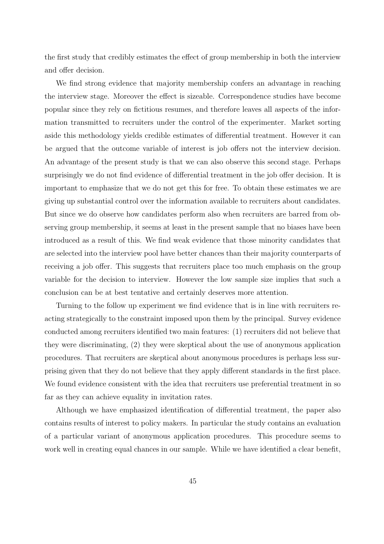the first study that credibly estimates the effect of group membership in both the interview and offer decision.

We find strong evidence that majority membership confers an advantage in reaching the interview stage. Moreover the effect is sizeable. Correspondence studies have become popular since they rely on fictitious resumes, and therefore leaves all aspects of the information transmitted to recruiters under the control of the experimenter. Market sorting aside this methodology yields credible estimates of differential treatment. However it can be argued that the outcome variable of interest is job offers not the interview decision. An advantage of the present study is that we can also observe this second stage. Perhaps surprisingly we do not find evidence of differential treatment in the job offer decision. It is important to emphasize that we do not get this for free. To obtain these estimates we are giving up substantial control over the information available to recruiters about candidates. But since we do observe how candidates perform also when recruiters are barred from observing group membership, it seems at least in the present sample that no biases have been introduced as a result of this. We find weak evidence that those minority candidates that are selected into the interview pool have better chances than their majority counterparts of receiving a job offer. This suggests that recruiters place too much emphasis on the group variable for the decision to interview. However the low sample size implies that such a conclusion can be at best tentative and certainly deserves more attention.

Turning to the follow up experiment we find evidence that is in line with recruiters reacting strategically to the constraint imposed upon them by the principal. Survey evidence conducted among recruiters identified two main features: (1) recruiters did not believe that they were discriminating, (2) they were skeptical about the use of anonymous application procedures. That recruiters are skeptical about anonymous procedures is perhaps less surprising given that they do not believe that they apply different standards in the first place. We found evidence consistent with the idea that recruiters use preferential treatment in so far as they can achieve equality in invitation rates.

Although we have emphasized identification of differential treatment, the paper also contains results of interest to policy makers. In particular the study contains an evaluation of a particular variant of anonymous application procedures. This procedure seems to work well in creating equal chances in our sample. While we have identified a clear benefit,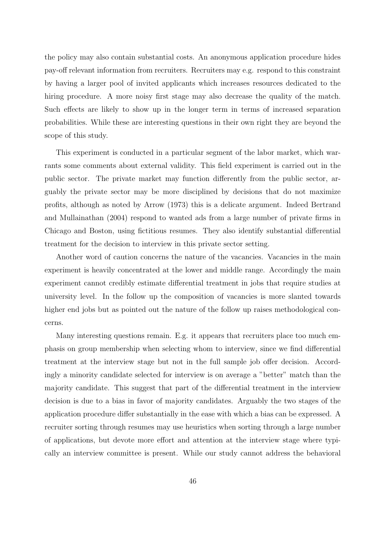the policy may also contain substantial costs. An anonymous application procedure hides pay-off relevant information from recruiters. Recruiters may e.g. respond to this constraint by having a larger pool of invited applicants which increases resources dedicated to the hiring procedure. A more noisy first stage may also decrease the quality of the match. Such effects are likely to show up in the longer term in terms of increased separation probabilities. While these are interesting questions in their own right they are beyond the scope of this study.

This experiment is conducted in a particular segment of the labor market, which warrants some comments about external validity. This field experiment is carried out in the public sector. The private market may function differently from the public sector, arguably the private sector may be more disciplined by decisions that do not maximize profits, although as noted by Arrow (1973) this is a delicate argument. Indeed Bertrand and Mullainathan (2004) respond to wanted ads from a large number of private firms in Chicago and Boston, using fictitious resumes. They also identify substantial differential treatment for the decision to interview in this private sector setting.

Another word of caution concerns the nature of the vacancies. Vacancies in the main experiment is heavily concentrated at the lower and middle range. Accordingly the main experiment cannot credibly estimate differential treatment in jobs that require studies at university level. In the follow up the composition of vacancies is more slanted towards higher end jobs but as pointed out the nature of the follow up raises methodological concerns.

Many interesting questions remain. E.g. it appears that recruiters place too much emphasis on group membership when selecting whom to interview, since we find differential treatment at the interview stage but not in the full sample job offer decision. Accordingly a minority candidate selected for interview is on average a "better" match than the majority candidate. This suggest that part of the differential treatment in the interview decision is due to a bias in favor of majority candidates. Arguably the two stages of the application procedure differ substantially in the ease with which a bias can be expressed. A recruiter sorting through resumes may use heuristics when sorting through a large number of applications, but devote more effort and attention at the interview stage where typically an interview committee is present. While our study cannot address the behavioral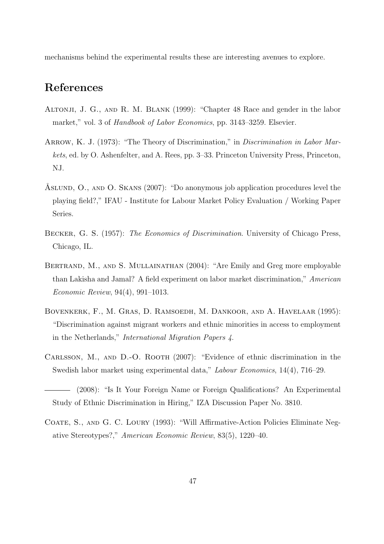mechanisms behind the experimental results these are interesting avenues to explore.

# References

- Altonji, J. G., and R. M. Blank (1999): "Chapter 48 Race and gender in the labor market," vol. 3 of Handbook of Labor Economics, pp. 3143-3259. Elsevier.
- ARROW, K. J. (1973): "The Theory of Discrimination," in *Discrimination in Labor Mar*kets, ed. by O. Ashenfelter, and A. Rees, pp. 3–33. Princeton University Press, Princeton, NJ.
- ÅSLUND, O., AND O. SKANS (2007): "Do anonymous job application procedures level the playing field?," IFAU - Institute for Labour Market Policy Evaluation / Working Paper Series.
- Becker, G. S. (1957): The Economics of Discrimination. University of Chicago Press, Chicago, IL.
- BERTRAND, M., AND S. MULLAINATHAN (2004): "Are Emily and Greg more employable than Lakisha and Jamal? A field experiment on labor market discrimination," American Economic Review, 94(4), 991–1013.
- Bovenkerk, F., M. Gras, D. Ramsoedh, M. Dankoor, and A. Havelaar (1995): "Discrimination against migrant workers and ethnic minorities in access to employment in the Netherlands," International Migration Papers 4.
- Carlsson, M., and D.-O. Rooth (2007): "Evidence of ethnic discrimination in the Swedish labor market using experimental data," Labour Economics, 14(4), 716–29.
- (2008): "Is It Your Foreign Name or Foreign Qualifications? An Experimental Study of Ethnic Discrimination in Hiring," IZA Discussion Paper No. 3810.
- COATE, S., AND G. C. LOURY (1993): "Will Affirmative-Action Policies Eliminate Negative Stereotypes?," American Economic Review, 83(5), 1220–40.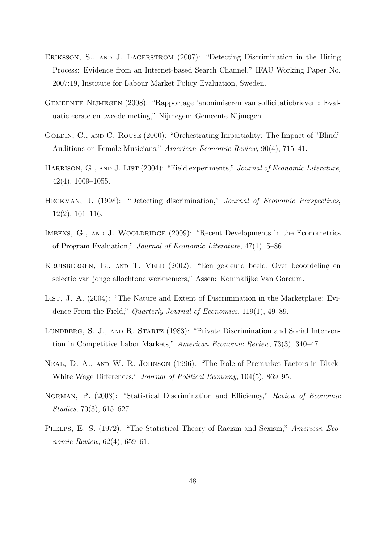- ERIKSSON, S., AND J. LAGERSTRÖM (2007): "Detecting Discrimination in the Hiring Process: Evidence from an Internet-based Search Channel," IFAU Working Paper No. 2007:19, Institute for Labour Market Policy Evaluation, Sweden.
- Gemeente Nijmegen (2008): "Rapportage 'anonimiseren van sollicitatiebrieven': Evaluatie eerste en tweede meting," Nijmegen: Gemeente Nijmegen.
- GOLDIN, C., AND C. ROUSE (2000): "Orchestrating Impartiality: The Impact of "Blind" Auditions on Female Musicians," American Economic Review, 90(4), 715–41.
- HARRISON, G., AND J. LIST (2004): "Field experiments," Journal of Economic Literature, 42(4), 1009–1055.
- HECKMAN, J. (1998): "Detecting discrimination," Journal of Economic Perspectives, 12(2), 101–116.
- IMBENS, G., AND J. WOOLDRIDGE (2009): "Recent Developments in the Econometrics of Program Evaluation," Journal of Economic Literature, 47(1), 5–86.
- Kruisbergen, E., and T. Veld (2002): "Een gekleurd beeld. Over beoordeling en selectie van jonge allochtone werknemers," Assen: Koninklijke Van Gorcum.
- LIST, J. A. (2004): "The Nature and Extent of Discrimination in the Marketplace: Evidence From the Field," Quarterly Journal of Economics, 119(1), 49–89.
- LUNDBERG, S. J., AND R. STARTZ (1983): "Private Discrimination and Social Intervention in Competitive Labor Markets," American Economic Review, 73(3), 340–47.
- Neal, D. A., and W. R. Johnson (1996): "The Role of Premarket Factors in Black-White Wage Differences," Journal of Political Economy, 104(5), 869–95.
- NORMAN, P. (2003): "Statistical Discrimination and Efficiency," Review of Economic Studies, 70(3), 615–627.
- PHELPS, E. S. (1972): "The Statistical Theory of Racism and Sexism," American Economic Review, 62(4), 659–61.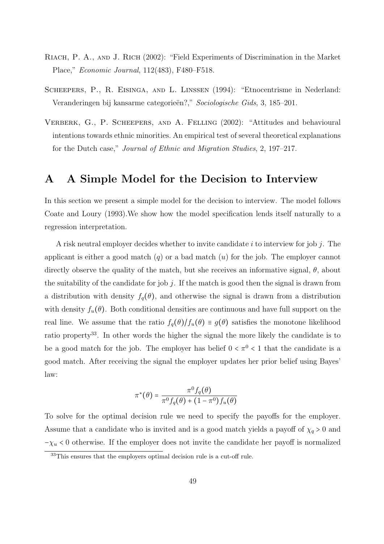- RIACH, P. A., AND J. RICH (2002): "Field Experiments of Discrimination in the Market Place," Economic Journal, 112(483), F480–F518.
- Scheepers, P., R. Eisinga, and L. Linssen (1994): "Etnocentrisme in Nederland: Veranderingen bij kansarme categorieën?," Sociologische Gids, 3, 185–201.
- VERBERK, G., P. SCHEEPERS, AND A. FELLING (2002): "Attitudes and behavioural intentions towards ethnic minorities. An empirical test of several theoretical explanations for the Dutch case," Journal of Ethnic and Migration Studies, 2, 197–217.

# A A Simple Model for the Decision to Interview

In this section we present a simple model for the decision to interview. The model follows Coate and Loury (1993).We show how the model specification lends itself naturally to a regression interpretation.

A risk neutral employer decides whether to invite candidate  $i$  to interview for job  $j$ . The applicant is either a good match  $(q)$  or a bad match  $(u)$  for the job. The employer cannot directly observe the quality of the match, but she receives an informative signal,  $\theta$ , about the suitability of the candidate for job  $j$ . If the match is good then the signal is drawn from a distribution with density  $f_q(\theta)$ , and otherwise the signal is drawn from a distribution with density  $f_u(\theta)$ . Both conditional densities are continuous and have full support on the real line. We assume that the ratio  $f_q(\theta)/f_u(\theta) \equiv g(\theta)$  satisfies the monotone likelihood ratio property<sup>33</sup>. In other words the higher the signal the more likely the candidate is to be a good match for the job. The employer has belief  $0 < \pi^0 < 1$  that the candidate is a good match. After receiving the signal the employer updates her prior belief using Bayes' law:

$$
\pi^*(\theta) = \frac{\pi^0 f_q(\theta)}{\pi^0 f_q(\theta) + (1 - \pi^0) f_u(\theta)}
$$

To solve for the optimal decision rule we need to specify the payoffs for the employer. Assume that a candidate who is invited and is a good match yields a payoff of  $\chi_q > 0$  and  $-\chi_u$  < 0 otherwise. If the employer does not invite the candidate her payoff is normalized

<sup>&</sup>lt;sup>33</sup>This ensures that the employers optimal decision rule is a cut-off rule.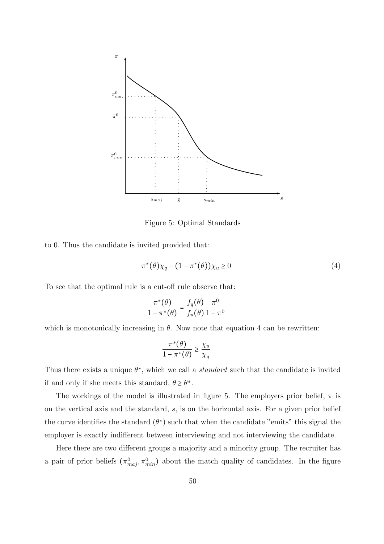

Figure 5: Optimal Standards

to 0. Thus the candidate is invited provided that:

$$
\pi^*(\theta)\chi_q - (1 - \pi^*(\theta))\chi_u \ge 0
$$
\n<sup>(4)</sup>

To see that the optimal rule is a cut-off rule observe that:

$$
\frac{\pi^*(\theta)}{1-\pi^*(\theta)} = \frac{f_q(\theta)}{f_u(\theta)} \frac{\pi^0}{1-\pi^0}
$$

which is monotonically increasing in  $\theta$ . Now note that equation 4 can be rewritten:

$$
\frac{\pi^*(\theta)}{1-\pi^*(\theta)} \geq \frac{\chi_u}{\chi_q}
$$

Thus there exists a unique  $\theta^*$ , which we call a *standard* such that the candidate is invited if and only if she meets this standard,  $\theta \ge \theta^*$ .

The workings of the model is illustrated in figure 5. The employers prior belief,  $\pi$  is on the vertical axis and the standard, s, is on the horizontal axis. For a given prior belief the curve identifies the standard  $(\theta^*)$  such that when the candidate "emits" this signal the employer is exactly indifferent between interviewing and not interviewing the candidate.

Here there are two different groups a majority and a minority group. The recruiter has a pair of prior beliefs  $(\pi_{maj}^0, \pi_{min}^0)$  about the match quality of candidates. In the figure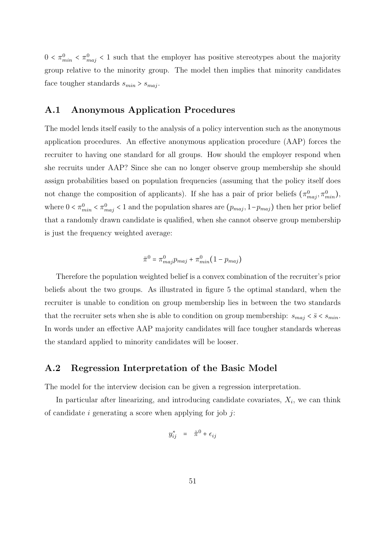$0 < \pi_{min}^0 < \pi_{maj}^0 < 1$  such that the employer has positive stereotypes about the majority group relative to the minority group. The model then implies that minority candidates face tougher standards  $s_{min} > s_{maj}$ .

#### A.1 Anonymous Application Procedures

The model lends itself easily to the analysis of a policy intervention such as the anonymous application procedures. An effective anonymous application procedure (AAP) forces the recruiter to having one standard for all groups. How should the employer respond when she recruits under AAP? Since she can no longer observe group membership she should assign probabilities based on population frequencies (assuming that the policy itself does not change the composition of applicants). If she has a pair of prior beliefs  $(\pi_{maj}^0, \pi_{min}^0)$ , where  $0 < \pi_{min}^0 < \pi_{maj}^0 < 1$  and the population shares are  $(p_{maj}, 1-p_{maj})$  then her prior belief that a randomly drawn candidate is qualified, when she cannot observe group membership is just the frequency weighted average:

$$
\bar{\pi}^0 = \pi^0_{maj} p_{maj} + \pi^0_{min} (1 - p_{maj})
$$

Therefore the population weighted belief is a convex combination of the recruiter's prior beliefs about the two groups. As illustrated in figure 5 the optimal standard, when the recruiter is unable to condition on group membership lies in between the two standards that the recruiter sets when she is able to condition on group membership:  $s_{maj} < \bar{s} < s_{min}$ . In words under an effective AAP majority candidates will face tougher standards whereas the standard applied to minority candidates will be looser.

#### A.2 Regression Interpretation of the Basic Model

The model for the interview decision can be given a regression interpretation.

In particular after linearizing, and introducing candidate covariates,  $X_i$ , we can think of candidate i generating a score when applying for job  $j$ :

$$
y_{ij}^* = \tilde{\pi}^0 + \epsilon_{ij}
$$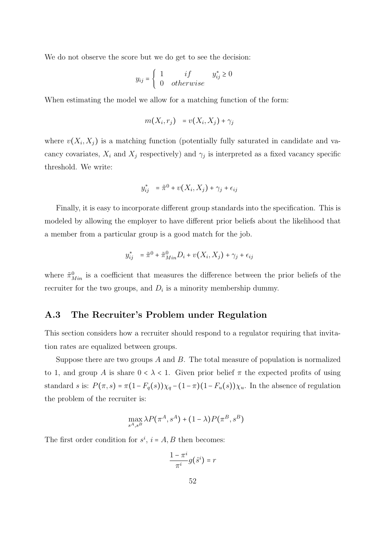We do not observe the score but we do get to see the decision:

$$
y_{ij} = \begin{cases} 1 & if & y_{ij}^* \ge 0 \\ 0 & otherwise \end{cases}
$$

When estimating the model we allow for a matching function of the form:

$$
m(X_i,r_j) = v(X_i,X_j) + \gamma_j
$$

where  $v(X_i, X_j)$  is a matching function (potentially fully saturated in candidate and vacancy covariates,  $X_i$  and  $X_j$  respectively) and  $\gamma_j$  is interpreted as a fixed vacancy specific threshold. We write:

$$
y_{ij}^* = \tilde{\pi}^0 + v(X_i, X_j) + \gamma_j + \epsilon_{ij}
$$

Finally, it is easy to incorporate different group standards into the specification. This is modeled by allowing the employer to have different prior beliefs about the likelihood that a member from a particular group is a good match for the job.

$$
y_{ij}^* = \tilde{\pi}^0 + \tilde{\pi}_{Min}^0 D_i + v(X_i, X_j) + \gamma_j + \epsilon_{ij}
$$

where  $\tilde{\pi}_{Min}^0$  is a coefficient that measures the difference between the prior beliefs of the recruiter for the two groups, and  $D_i$  is a minority membership dummy.

#### A.3 The Recruiter's Problem under Regulation

This section considers how a recruiter should respond to a regulator requiring that invitation rates are equalized between groups.

Suppose there are two groups  $A$  and  $B$ . The total measure of population is normalized to 1, and group A is share  $0 < \lambda < 1$ . Given prior belief  $\pi$  the expected profits of using standard s is:  $P(\pi, s) = \pi(1 - F_q(s))\chi_q - (1 - \pi)(1 - F_u(s))\chi_u$ . In the absence of regulation the problem of the recruiter is:

$$
\max_{s^A,s^B} \lambda P(\pi^A,s^A) + (1-\lambda)P(\pi^B,s^B)
$$

The first order condition for  $s^i$ ,  $i = A, B$  then becomes:

$$
\frac{1-\pi^i}{\pi^i}g(\hat{s}^i)=r
$$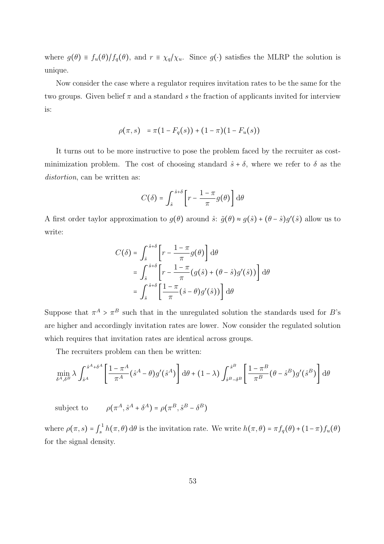where  $g(\theta) \equiv f_u(\theta)/f_q(\theta)$ , and  $r \equiv \chi_q/\chi_u$ . Since  $g(\cdot)$  satisfies the MLRP the solution is unique.

Now consider the case where a regulator requires invitation rates to be the same for the two groups. Given belief  $\pi$  and a standard s the fraction of applicants invited for interview is:

$$
\rho(\pi, s) = \pi(1 - F_q(s)) + (1 - \pi)(1 - F_u(s))
$$

It turns out to be more instructive to pose the problem faced by the recruiter as costminimization problem. The cost of choosing standard  $\hat{s} + \delta$ , where we refer to  $\delta$  as the distortion, can be written as:

$$
C(\delta) = \int_{\hat{s}}^{\hat{s}+\delta} \left[ r - \frac{1-\pi}{\pi} g(\theta) \right] d\theta
$$

A first order taylor approximation to  $g(\theta)$  around  $\hat{s}$ :  $\tilde{g}(\theta) \approx g(\hat{s}) + (\theta - \hat{s})g'(\hat{s})$  allow us to write:

$$
C(\delta) = \int_{\hat{s}}^{\hat{s}+\delta} \left[ r - \frac{1-\pi}{\pi} g(\theta) \right] d\theta
$$
  
= 
$$
\int_{\hat{s}}^{\hat{s}+\delta} \left[ r - \frac{1-\pi}{\pi} (g(\hat{s}) + (\theta - \hat{s}) g'(\hat{s})) \right] d\theta
$$
  
= 
$$
\int_{\hat{s}}^{\hat{s}+\delta} \left[ \frac{1-\pi}{\pi} (\hat{s} - \theta) g'(\hat{s}) \right] d\theta
$$

Suppose that  $\pi^A > \pi^B$  such that in the unregulated solution the standards used for B's are higher and accordingly invitation rates are lower. Now consider the regulated solution which requires that invitation rates are identical across groups.

The recruiters problem can then be written:

$$
\min_{\delta^A,\delta^B} \lambda \int_{\hat{s}^A}^{\hat{s}^A+\delta^A} \left[ \frac{1-\pi^A}{\pi^A} (\hat{s}^A - \theta) g'(\hat{s}^A) \right] d\theta + (1-\lambda) \int_{\hat{s}^B-\delta^B}^{\hat{s}^B} \left[ \frac{1-\pi^B}{\pi^B} (\theta - \hat{s}^B) g'(\hat{s}^B) \right] d\theta
$$

subject to  $(A^A, \hat{s}^A + \delta^A) = \rho(\pi^B, \hat{s}^B - \delta^B)$ 

where  $\rho(\pi, s) = \int_s^1$  $\int_s^1 h(\pi, \theta) d\theta$  is the invitation rate. We write  $h(\pi, \theta) = \pi f_q(\theta) + (1 - \pi) f_u(\theta)$ for the signal density.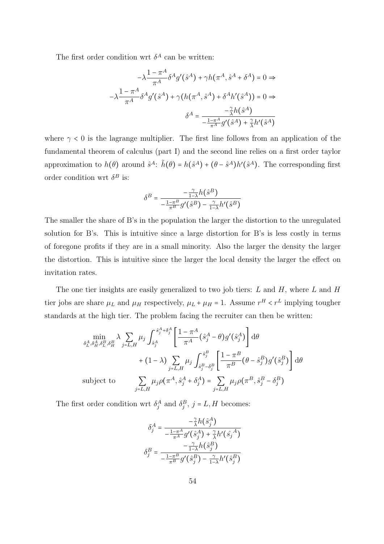The first order condition wrt  $\delta^A$  can be written:

$$
-\lambda \frac{1 - \pi^A}{\pi^A} \delta^A g'(\hat{s}^A) + \gamma h(\pi^A, \hat{s}^A + \delta^A) = 0 \Rightarrow
$$

$$
-\lambda \frac{1 - \pi^A}{\pi^A} \delta^A g'(\hat{s}^A) + \gamma (h(\pi^A, \hat{s}^A) + \delta^A h'(\hat{s}^A)) = 0 \Rightarrow
$$

$$
\delta^A = \frac{-\frac{\gamma}{\lambda} h(\hat{s}^A)}{-\frac{1 - \pi^A}{\pi^A} g'(\hat{s}^A) + \frac{\gamma}{\lambda} h'(\hat{s}^A)}
$$

where  $\gamma$  < 0 is the lagrange multiplier. The first line follows from an application of the fundamental theorem of calculus (part I) and the second line relies on a first order taylor approximation to  $h(\theta)$  around  $\hat{s}^A$ :  $\tilde{h}(\theta) = h(\hat{s}^A) + (\theta - \hat{s}^A)h'(\hat{s}^A)$ . The corresponding first order condition wrt  $\delta^B$  is:

$$
\delta^B = \frac{-\frac{\gamma}{1-\lambda} h\big(\hat{s}^B\big)}{-\frac{1-\pi^B}{\pi^B}g'\big(\hat{s}^B\big) - \frac{\gamma}{1-\lambda}h'\big(\hat{s}^B\big)}
$$

The smaller the share of B's in the population the larger the distortion to the unregulated solution for B's. This is intuitive since a large distortion for B's is less costly in terms of foregone profits if they are in a small minority. Also the larger the density the larger the distortion. This is intuitive since the larger the local density the larger the effect on invitation rates.

The one tier insights are easily generalized to two job tiers:  $L$  and  $H$ , where  $L$  and  $H$ tier jobs are share  $\mu_L$  and  $\mu_H$  respectively,  $\mu_L + \mu_H = 1$ . Assume  $r^H \lt r^L$  implying tougher standards at the high tier. The problem facing the recruiter can then be written:

$$
\min_{\delta_L^A, \delta_H^A, \delta_L^B, \delta_H^B} \lambda \sum_{j=L, H} \mu_j \int_{\hat{s}_j^A}^{\hat{s}_j^A + \delta_j^A} \left[ \frac{1 - \pi^A}{\pi^A} (\hat{s}_j^A - \theta) g'(\hat{s}_j^A) \right] d\theta
$$
  
+  $(1 - \lambda) \sum_{j=L, H} \mu_j \int_{\hat{s}_j^B - \delta_j^B}^{\hat{s}_j^B} \left[ \frac{1 - \pi^B}{\pi^B} (\theta - \hat{s}_j^B) g'(\hat{s}_j^B) \right] d\theta$   
subject to  

$$
\sum_{j=L, H} \mu_j \rho(\pi^A, \hat{s}_j^A + \delta_j^A) = \sum_{j=L, H} \mu_j \rho(\pi^B, \hat{s}_j^B - \delta_j^B)
$$

The first order condition wrt  $\delta_j^A$  and  $\delta_j^B$ ,  $j = L, H$  becomes:

$$
\delta_j^A = \frac{-\frac{\gamma}{\lambda}h(\hat{s}_j^A)}{-\frac{1-\pi^A}{\pi^A}g'\left(\hat{s}_j^A\right) + \frac{\gamma}{\lambda}h'\left(\hat{s}_j^A\right)}
$$

$$
\delta_j^B = \frac{-\frac{\gamma}{1-\lambda}h(\hat{s}_j^B)}{-\frac{1-\pi^B}{\pi^B}g'\left(\hat{s}_j^B\right) - \frac{\gamma}{1-\lambda}h'\left(\hat{s}_j^B\right)}
$$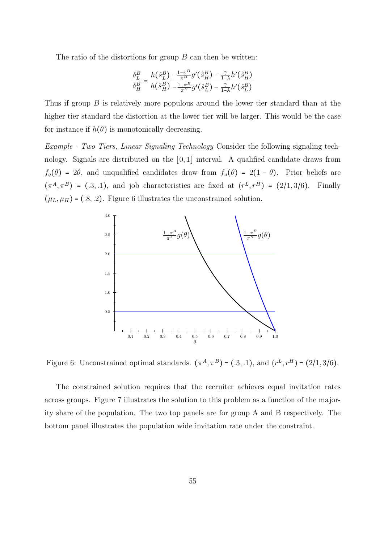The ratio of the distortions for group  $B$  can then be written:

$$
\frac{\delta_L^B}{\delta_H^B} = \frac{h(\hat{s}_L^B)}{h(\hat{s}_H^B)} \frac{-\frac{1-\pi^B}{\pi^B}g'(\hat{s}_H^B) - \frac{\gamma}{1-\lambda}h'(\hat{s}_H^B)}{-\frac{1-\pi^B}{\pi^B}g'(\hat{s}_L^B) - \frac{\gamma}{1-\lambda}h'(\hat{s}_L^B)}
$$

Thus if group B is relatively more populous around the lower tier standard than at the higher tier standard the distortion at the lower tier will be larger. This would be the case for instance if  $h(\theta)$  is monotonically decreasing.

Example - Two Tiers, Linear Signaling Technology Consider the following signaling technology. Signals are distributed on the [0, 1] interval. A qualified candidate draws from  $f_q(\theta) = 2\theta$ , and unqualified candidates draw from  $f_u(\theta) = 2(1 - \theta)$ . Prior beliefs are  $(\pi^A, \pi^B) = (0.3, 0.1)$ , and job characteristics are fixed at  $(r^L, r^H) = (2/1, 3/6)$ . Finally  $(\mu_L, \mu_H) = (.8, .2)$ . Figure 6 illustrates the unconstrained solution.



Figure 6: Unconstrained optimal standards.  $(\pi^A, \pi^B) = (.3, .1)$ , and  $(r^L, r^H) = (2/1, 3/6)$ .

The constrained solution requires that the recruiter achieves equal invitation rates across groups. Figure 7 illustrates the solution to this problem as a function of the majority share of the population. The two top panels are for group A and B respectively. The bottom panel illustrates the population wide invitation rate under the constraint.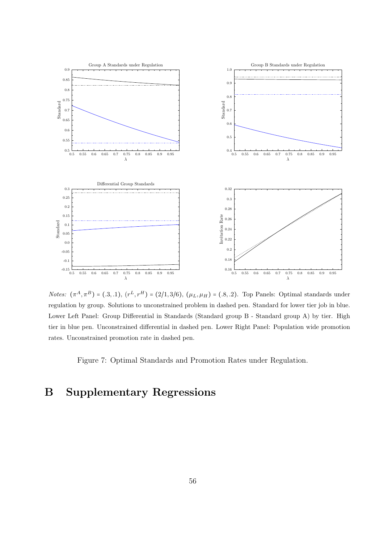

*Notes:*  $(\pi^A, \pi^B) = (.3, .1), (r^L, r^H) = (2/1, 3/6), (\mu_L, \mu_H) = (.8, .2).$  Top Panels: Optimal standards under regulation by group. Solutions to unconstrained problem in dashed pen. Standard for lower tier job in blue. Lower Left Panel: Group Differential in Standards (Standard group B - Standard group A) by tier. High tier in blue pen. Unconstrained differential in dashed pen. Lower Right Panel: Population wide promotion rates. Unconstrained promotion rate in dashed pen.

Figure 7: Optimal Standards and Promotion Rates under Regulation.

# B Supplementary Regressions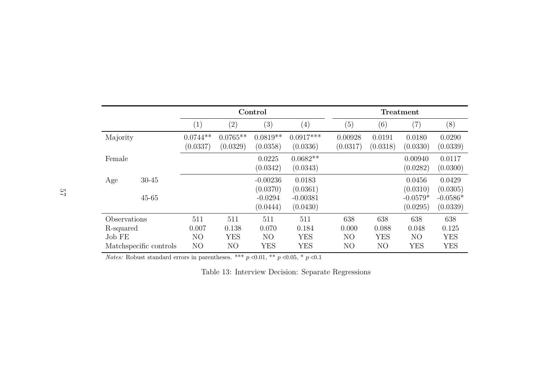|          |                                                     |                        |                                  | Control                                      |                                          |                                                  |                                  | Treatment                                    |                                          |
|----------|-----------------------------------------------------|------------------------|----------------------------------|----------------------------------------------|------------------------------------------|--------------------------------------------------|----------------------------------|----------------------------------------------|------------------------------------------|
|          |                                                     | $\left( 1\right)$      | (2)                              | (3)                                          | (4)                                      | (5)                                              | (6)                              | (7)                                          | (8)                                      |
| Majority |                                                     | $0.0744**$<br>(0.0337) | $0.0765**$<br>(0.0329)           | $0.0819**$<br>(0.0358)                       | $0.0917***$<br>(0.0336)                  | 0.00928<br>(0.0317)                              | 0.0191<br>(0.0318)               | 0.0180<br>(0.0330)                           | 0.0290<br>(0.0339)                       |
| Female   |                                                     |                        |                                  | 0.0225<br>(0.0342)                           | $0.0682**$<br>(0.0343)                   |                                                  |                                  | 0.00940<br>(0.0282)                          | 0.0117<br>(0.0300)                       |
| Age      | $30 - 45$                                           |                        |                                  | $-0.00236$<br>(0.0370)                       | 0.0183<br>(0.0361)                       |                                                  |                                  | 0.0456<br>(0.0310)                           | 0.0429<br>(0.0305)                       |
|          | $45 - 65$                                           |                        |                                  | $-0.0294$<br>(0.0444)                        | $-0.00381$<br>(0.0430)                   |                                                  |                                  | $-0.0579*$<br>(0.0295)                       | $-0.0586*$<br>(0.0339)                   |
| Job FE   | Observations<br>R-squared<br>Matchspecific controls |                        | 511<br>0.138<br><b>YES</b><br>NO | 511<br>0.070<br>N <sub>O</sub><br><b>YES</b> | 511<br>0.184<br><b>YES</b><br><b>YES</b> | 638<br>0.000<br>N <sub>O</sub><br>N <sub>O</sub> | 638<br>0.088<br><b>YES</b><br>NO | 638<br>0.048<br>N <sub>O</sub><br><b>YES</b> | 638<br>0.125<br><b>YES</b><br><b>YES</b> |

*Notes:* Robust standard errors in parentheses. \*\*\*  $p \le 0.01$ , \*\*  $p \le 0.05$ , \*  $p \le 0.1$ 

Table 13: Interview Decision: Separate Regressions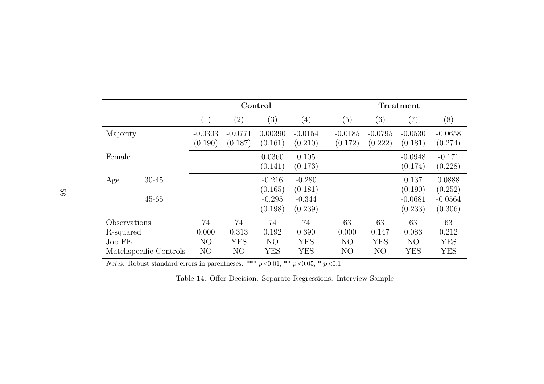|          |                                                     |                      |                                             | Control                         |                                         |                                                 |                                             | Treatment                                   |                                         |
|----------|-----------------------------------------------------|----------------------|---------------------------------------------|---------------------------------|-----------------------------------------|-------------------------------------------------|---------------------------------------------|---------------------------------------------|-----------------------------------------|
|          |                                                     | (1)                  | $\left( 2\right)$                           | (3)                             | $\left(4\right)$                        | (5)                                             | $\left( 6\right)$                           | $\left( 7\right)$                           | (8)                                     |
| Majority |                                                     | $-0.0303$<br>(0.190) | $-0.0771$<br>(0.187)                        | 0.00390<br>(0.161)              | $-0.0154$<br>(0.210)                    | $-0.0185$<br>(0.172)                            | $-0.0795$<br>(0.222)                        | $-0.0530$<br>(0.181)                        | $-0.0658$<br>(0.274)                    |
| Female   |                                                     |                      |                                             | 0.0360<br>(0.141)               | 0.105<br>(0.173)                        |                                                 |                                             | $-0.0948$<br>(0.174)                        | $-0.171$<br>(0.228)                     |
| Age      | $30 - 45$                                           |                      |                                             | $-0.216$<br>(0.165)             | $-0.280$<br>(0.181)                     |                                                 |                                             | 0.137<br>(0.190)                            | 0.0888<br>(0.252)                       |
|          | $45 - 65$                                           |                      |                                             | $-0.295$<br>(0.198)             | $-0.344$<br>(0.239)                     |                                                 |                                             | $-0.0681$<br>(0.233)                        | $-0.0564$<br>(0.306)                    |
| Job FE   | Observations<br>R-squared<br>Matchspecific Controls |                      | 74<br>0.313<br><b>YES</b><br>N <sub>O</sub> | 74<br>0.192<br>NO<br><b>YES</b> | 74<br>0.390<br><b>YES</b><br><b>YES</b> | 63<br>0.000<br>N <sub>O</sub><br>N <sub>O</sub> | 63<br>0.147<br><b>YES</b><br>N <sub>O</sub> | 63<br>0.083<br>N <sub>O</sub><br><b>YES</b> | 63<br>0.212<br><b>YES</b><br><b>YES</b> |

*Notes:* Robust standard errors in parentheses. \*\*\*  $p \le 0.01$ , \*\*  $p \le 0.05$ , \*  $p \le 0.1$ 

Table 14: Offer Decision: Separate Regressions. Interview Sample.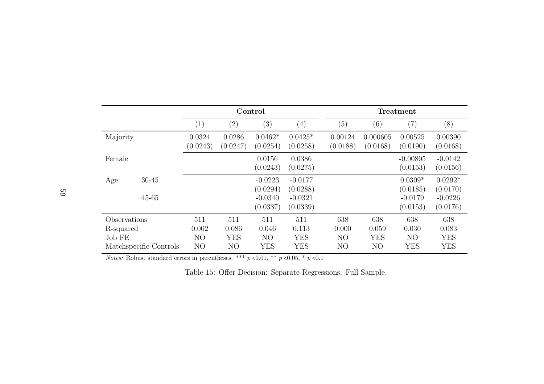|              |                        |                                  |                              | Control                      |                          |                                  |                              | Treatment                    |                          |
|--------------|------------------------|----------------------------------|------------------------------|------------------------------|--------------------------|----------------------------------|------------------------------|------------------------------|--------------------------|
|              |                        | $\left( 1\right)$                | (2)                          | $\left(3\right)$             | $\left( 4\right)$        | (5)                              | (6)                          | (7)                          | (8)                      |
| Majority     |                        | 0.0324<br>(0.0243)               | 0.0286<br>(0.0247)           | $0.0462*$<br>(0.0254)        | $0.0425*$<br>(0.0258)    | 0.00124<br>(0.0188)              | 0.000605<br>(0.0168)         | 0.00525<br>(0.0190)          | 0.00390<br>(0.0168)      |
| Female       |                        |                                  |                              | 0.0156<br>(0.0243)           | 0.0386<br>(0.0275)       |                                  |                              | $-0.00805$<br>(0.0153)       | $-0.0142$<br>(0.0156)    |
| Age          | $30 - 45$              |                                  |                              | $-0.0223$<br>(0.0294)        | $-0.0177$<br>(0.0288)    |                                  |                              | $0.0309*$<br>(0.0185)        | $0.0292*$<br>(0.0170)    |
|              | $45 - 65$              |                                  |                              | $-0.0340$<br>(0.0337)        | $-0.0321$<br>(0.0339)    |                                  |                              | $-0.0179$<br>(0.0153)        | $-0.0226$<br>(0.0176)    |
| Observations |                        | 511                              | 511                          | 511                          | 511                      | 638                              | 638                          | 638                          | 638                      |
|              | R-squared              |                                  | 0.086                        | 0.046                        | 0.113                    | 0.000                            | 0.059                        | 0.030                        | 0.083                    |
| Job FE       | Matchspecific Controls | N <sub>O</sub><br>N <sub>O</sub> | <b>YES</b><br>N <sub>O</sub> | N <sub>O</sub><br><b>YES</b> | <b>YES</b><br><b>YES</b> | N <sub>O</sub><br>N <sub>O</sub> | <b>YES</b><br>N <sub>O</sub> | N <sub>O</sub><br><b>YES</b> | <b>YES</b><br><b>YES</b> |

*Notes:* Robust standard errors in parentheses. \*\*\*  $p \le 0.01$ , \*\*  $p \le 0.05$ , \*  $p \le 0.1$ 

Table 15: Offer Decision: Separate Regressions. Full Sample.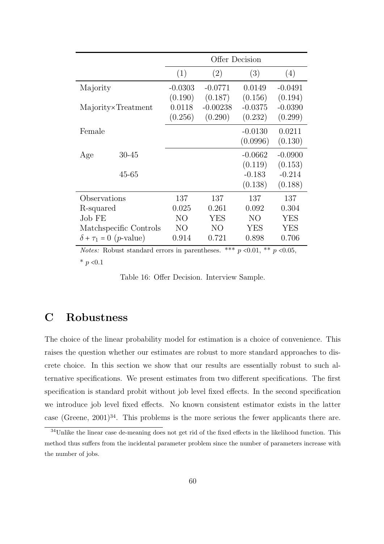|                                          |                        |           | Offer Decision |            |            |
|------------------------------------------|------------------------|-----------|----------------|------------|------------|
|                                          |                        | (1)       | (2)            | (3)        | (4)        |
| Majority                                 |                        | $-0.0303$ | $-0.0771$      | 0.0149     | $-0.0491$  |
|                                          |                        | (0.190)   | (0.187)        | (0.156)    | (0.194)    |
|                                          | Majority×Treatment     | 0.0118    | $-0.00238$     | $-0.0375$  | $-0.0390$  |
|                                          |                        | (0.256)   | (0.290)        | (0.232)    | (0.299)    |
| Female                                   |                        |           |                | $-0.0130$  | 0.0211     |
|                                          |                        |           |                | (0.0996)   | (0.130)    |
| Age                                      | $30 - 45$              |           |                | $-0.0662$  | $-0.0900$  |
|                                          |                        |           |                | (0.119)    | (0.153)    |
|                                          | $45 - 65$              |           |                | $-0.183$   | $-0.214$   |
|                                          |                        |           |                | (0.138)    | (0.188)    |
| Observations                             |                        | 137       | 137            | 137        | 137        |
| R-squared                                |                        | 0.025     | 0.261          | 0.092      | 0.304      |
| Job FE                                   |                        | NO        | YES            | NO         | <b>YES</b> |
|                                          | Matchspecific Controls | NO        | N <sub>O</sub> | <b>YES</b> | <b>YES</b> |
| $\delta + \tau_1 = 0$ ( <i>p</i> -value) |                        | 0.914     | 0.721          | 0.898      | 0.706      |

*Notes:* Robust standard errors in parentheses. \*\*\*  $p \le 0.01$ , \*\*  $p \le 0.05$ , \*  $p < 0.1$ 

Table 16: Offer Decision. Interview Sample.

# C Robustness

The choice of the linear probability model for estimation is a choice of convenience. This raises the question whether our estimates are robust to more standard approaches to discrete choice. In this section we show that our results are essentially robust to such alternative specifications. We present estimates from two different specifications. The first specification is standard probit without job level fixed effects. In the second specification we introduce job level fixed effects. No known consistent estimator exists in the latter case (Greene,  $2001)^{34}$ . This problems is the more serious the fewer applicants there are.

<sup>34</sup>Unlike the linear case de-meaning does not get rid of the fixed effects in the likelihood function. This method thus suffers from the incidental parameter problem since the number of parameters increase with the number of jobs.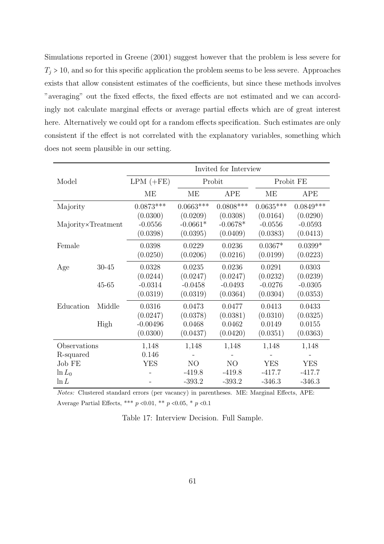Simulations reported in Greene (2001) suggest however that the problem is less severe for  $T_j > 10$ , and so for this specific application the problem seems to be less severe. Approaches exists that allow consistent estimates of the coefficients, but since these methods involves "averaging" out the fixed effects, the fixed effects are not estimated and we can accordingly not calculate marginal effects or average partial effects which are of great interest here. Alternatively we could opt for a random effects specification. Such estimates are only consistent if the effect is not correlated with the explanatory variables, something which does not seem plausible in our setting.

|                    |           |             |                | Invited for Interview |             |             |
|--------------------|-----------|-------------|----------------|-----------------------|-------------|-------------|
| Model              |           | $LPM (+FE)$ |                | Probit                |             | Probit FE   |
|                    |           |             | MЕ             | <b>APE</b>            | ME          | APE         |
| Majority           |           | $0.0873***$ | $0.0663***$    | $0.0808$ ***          | $0.0635***$ | $0.0849***$ |
|                    |           |             | (0.0209)       | (0.0308)              | (0.0164)    | (0.0290)    |
| Majority×Treatment |           | $-0.0556$   | $-0.0661*$     | $-0.0678*$            | $-0.0556$   | $-0.0593$   |
|                    |           | (0.0398)    | (0.0395)       | (0.0409)              | (0.0383)    | (0.0413)    |
| Female             |           | 0.0398      | 0.0229         | 0.0236                | $0.0367*$   | $0.0399*$   |
|                    |           | (0.0250)    | (0.0206)       | (0.0216)              | (0.0199)    | (0.0223)    |
| Age                | $30 - 45$ | 0.0328      | 0.0235         | 0.0236                | 0.0291      | 0.0303      |
|                    |           | (0.0244)    | (0.0247)       | (0.0247)              | (0.0232)    | (0.0239)    |
|                    | $45 - 65$ | $-0.0314$   | $-0.0458$      | $-0.0493$             | $-0.0276$   | $-0.0305$   |
|                    |           | (0.0319)    | (0.0319)       | (0.0364)              | (0.0304)    | (0.0353)    |
| Education          | Middle    | 0.0316      | 0.0473         | 0.0477                | 0.0413      | 0.0433      |
|                    |           | (0.0247)    | (0.0378)       | (0.0381)              | (0.0310)    | (0.0325)    |
|                    | High      | $-0.00496$  | 0.0468         | 0.0462                | 0.0149      | 0.0155      |
|                    |           | (0.0300)    | (0.0437)       | (0.0420)              | (0.0351)    | (0.0363)    |
| Observations       |           | 1,148       | 1,148          | 1,148                 | 1,148       | 1,148       |
| R-squared          |           | 0.146       |                |                       |             |             |
| Job FE             |           | <b>YES</b>  | N <sub>O</sub> | N <sub>O</sub>        | <b>YES</b>  | <b>YES</b>  |
| $\ln L_0$          |           |             | $-419.8$       | $-419.8$              | $-417.7$    | $-417.7$    |
| $\ln L$            |           |             | $-393.2$       | $-393.2$              | $-346.3$    | $-346.3$    |

Notes: Clustered standard errors (per vacancy) in parentheses. ME: Marginal Effects, APE: Average Partial Effects, \*\*\*  $p \le 0.01$ , \*\*  $p \le 0.05$ , \*  $p \le 0.1$ 

Table 17: Interview Decision. Full Sample.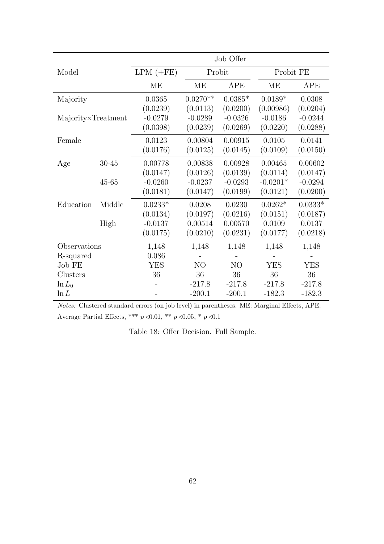|                    |           |             |                | Job Offer      |            |            |
|--------------------|-----------|-------------|----------------|----------------|------------|------------|
| Model              |           | $LPM (+FE)$ | Probit         |                | Probit FE  |            |
|                    |           | ME          | <b>ME</b>      | APE            | <b>ME</b>  | APE        |
| Majority           |           | 0.0365      | $0.0270**$     | $0.0385*$      | $0.0189*$  | 0.0308     |
|                    |           | (0.0239)    | (0.0113)       | (0.0200)       | (0.00986)  | (0.0204)   |
| Majority×Treatment |           | $-0.0279$   | $-0.0289$      | $-0.0326$      | $-0.0186$  | $-0.0244$  |
|                    |           | (0.0398)    | (0.0239)       | (0.0269)       | (0.0220)   | (0.0288)   |
| Female             |           | 0.0123      | 0.00804        | 0.00915        | 0.0105     | 0.0141     |
|                    |           | (0.0176)    | (0.0125)       | (0.0145)       | (0.0109)   | (0.0150)   |
| Age                | $30 - 45$ | 0.00778     | 0.00838        | 0.00928        | 0.00465    | 0.00602    |
|                    |           | (0.0147)    | (0.0126)       | (0.0139)       | (0.0114)   | (0.0147)   |
|                    | $45 - 65$ | $-0.0260$   | $-0.0237$      | $-0.0293$      | $-0.0201*$ | $-0.0294$  |
|                    |           | (0.0181)    | (0.0147)       | (0.0199)       | (0.0121)   | (0.0200)   |
| Education          | Middle    | $0.0233*$   | 0.0208         | 0.0230         | $0.0262*$  | $0.0333*$  |
|                    |           | (0.0134)    | (0.0197)       | (0.0216)       | (0.0151)   | (0.0187)   |
|                    | High      | $-0.0137$   | 0.00514        | 0.00570        | 0.0109     | 0.0137     |
|                    |           | (0.0175)    | (0.0210)       | (0.0231)       | (0.0177)   | (0.0218)   |
| Observations       |           | 1,148       | 1,148          | 1,148          | 1,148      | 1,148      |
| R-squared          |           | 0.086       |                |                |            |            |
| Job FE             |           | <b>YES</b>  | N <sub>O</sub> | N <sub>O</sub> | <b>YES</b> | <b>YES</b> |
| Clusters           |           | 36          | 36             | 36             | 36         | 36         |
| $\ln L_0$          |           |             | $-217.8$       | $-217.8$       | $-217.8$   | $-217.8$   |
| $\ln L$            |           |             | $-200.1$       | $-200.1$       | $-182.3$   | $-182.3$   |

Notes: Clustered standard errors (on job level) in parentheses. ME: Marginal Effects, APE: Average Partial Effects, \*\*\*  $p$  <0.01, \*\*  $p$  <0.05, \*  $p$  <0.1

Table 18: Offer Decision. Full Sample.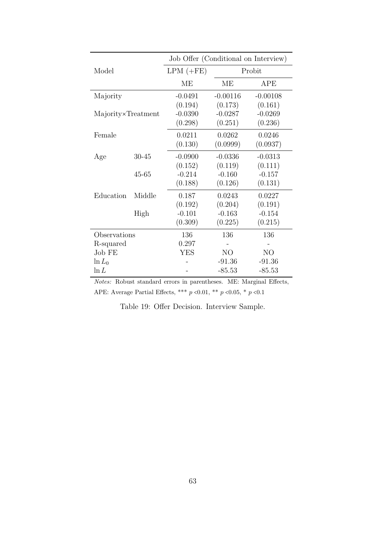|                    |           | Job Offer (Conditional on Interview) |                |                |
|--------------------|-----------|--------------------------------------|----------------|----------------|
| Model              |           | $LPM (+FE)$                          |                | Probit         |
|                    |           | MЕ                                   | MЕ             | APE            |
| Majority           |           | $-0.0491$                            | $-0.00116$     | $-0.00108$     |
|                    |           | (0.194)                              | (0.173)        | (0.161)        |
| Majority×Treatment |           | $-0.0390$                            | $-0.0287$      | $-0.0269$      |
|                    |           | (0.298)                              | (0.251)        | (0.236)        |
| Female             |           | 0.0211                               | 0.0262         | 0.0246         |
|                    |           | (0.130)                              | (0.0999)       | (0.0937)       |
| Age                | $30 - 45$ | $-0.0900$                            | $-0.0336$      | $-0.0313$      |
|                    |           | (0.152)                              | (0.119)        | (0.111)        |
|                    | 45-65     | $-0.214$                             | $-0.160$       | $-0.157$       |
|                    |           | (0.188)                              | (0.126)        | (0.131)        |
| Education          | Middle    | 0.187                                | 0.0243         | 0.0227         |
|                    |           | (0.192)                              | (0.204)        | (0.191)        |
|                    | High      | $-0.101$                             | $-0.163$       | $-0.154$       |
|                    |           | (0.309)                              | (0.225)        | (0.215)        |
| Observations       |           | 136                                  | 136            | 136            |
| R-squared          |           | 0.297                                |                |                |
| Job FE             |           | <b>YES</b>                           | N <sub>O</sub> | N <sub>O</sub> |
| $\ln L_0$          |           |                                      | $-91.36$       | $-91.36$       |
| $\ln L$            |           |                                      | $-85.53$       | $-85.53$       |

Notes: Robust standard errors in parentheses. ME: Marginal Effects, APE: Average Partial Effects, \*\*\*  $p$  <0.01, \*\*  $p$  <0.05, \*  $p$  <0.1

Table 19: Offer Decision. Interview Sample.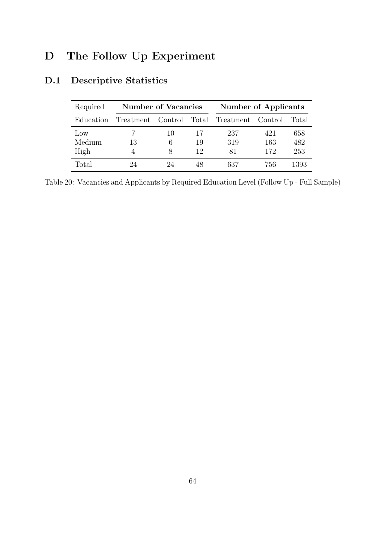# D The Follow Up Experiment

| Required        | <b>Number of Vacancies</b> |         |    | Number of Applicants |           |        |  |
|-----------------|----------------------------|---------|----|----------------------|-----------|--------|--|
| Education       | Treatment                  | Control |    | Total Treatment      | - Control | Total: |  |
| $_{\text{LOW}}$ |                            | 10      | 17 | 237                  | 421       | 658    |  |
| Medium          | 13                         | 6       | 19 | 319                  | 163       | 482    |  |
| High            |                            | x       | 12 | 81                   | 172       | 253    |  |
| Total           |                            |         | 48 | 637                  | 756       | 1393   |  |

# D.1 Descriptive Statistics

Table 20: Vacancies and Applicants by Required Education Level (Follow Up - Full Sample)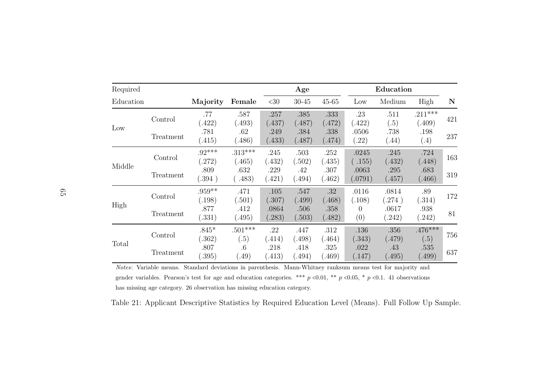| Required  |           |                    |                         | Age             |                 |                 |                  | Education       |                     |             |
|-----------|-----------|--------------------|-------------------------|-----------------|-----------------|-----------------|------------------|-----------------|---------------------|-------------|
| Education |           | Majority           | Female                  | <30             | $30 - 45$       | $45 - 65$       | Low              | Medium          | High                | $\mathbf N$ |
| Low       | Control   | .77<br>(.422)      | .587<br>(.493)          | .257<br>(.437)  | .385<br>(.487)  | .333<br>(.472)  | .23<br>(.422)    | .511<br>(.5)    | $.211***$<br>(.409) | 421         |
|           | Treatment | .781<br>(415)      | .62<br>(.486)           | .249<br>(.433)  | .384<br>(.487)  | .338<br>(.474)  | .0506<br>(.22)   | .738<br>(.44)   | .198<br>(.4)        | 237         |
| Middle    | Control   | $.92***$<br>(272)  | $.313***$<br>(.465)     | .245<br>(0.432) | .503<br>(.502)  | .252<br>(.435)  | .0245<br>(155)   | .245<br>(.432)  | .724<br>(.448)      | 163         |
|           | Treatment | .809<br>0.394)     | .632<br>.483)           | .229<br>(.421)  | .42<br>(0.494)  | .307<br>(0.462) | .0063<br>(.0791) | .295<br>(.457)  | .683<br>(0.466)     | 319         |
|           | Control   | $.959**$<br>(.198) | .471<br>(.501)          | .105<br>(.307)  | .547<br>(.499)  | .32<br>(.468)   | .0116<br>(.108)  | .0814<br>.274)  | .89<br>(.314)       | 172         |
| High      | Treatment | .877<br>(.331)     | .412<br>(.495)          | .0864<br>(.283) | .506<br>(.503)  | .358<br>(.482)  | 0<br>(0)         | .0617<br>(.242) | .938<br>(.242)      | 81          |
|           | Control   | $.845*$<br>.362)   | $.501***$<br>(.5)       | .22<br>(414)    | .447<br>(.498)  | .312<br>(.464)  | .136<br>(.343)   | .356<br>(.479)  | $.476***$<br>(.5)   | 756         |
| Total     | Treatment | .807<br>.395)      | $.6\phantom{0}$<br>(49) | .218<br>(.413)  | .418<br>(0.494) | .325<br>(0.469) | .022<br>(0.147)  | .43<br>(0.495)  | .535<br>(.499)      | 637         |

Notes: Variable means. Standard deviations in parenthesis. Mann-Whitney ranksum means test for majority andgender variables. Pearson's test for age and education categories. \*\*\*  $p \lt 0.01$ , \*\*  $p \lt 0.05$ , \*  $p \lt 0.1$ . 41 observations has missing age category. <sup>26</sup> observation has missing education category.

Table 21: Applicant Descriptive Statistics by Required Education Level (Means). Full Follow Up Sample.